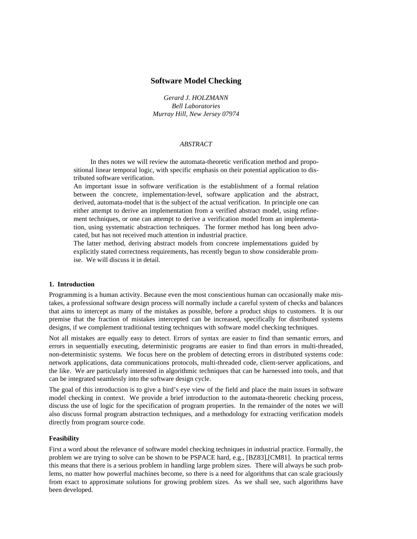# **Software Model Checking**

*Gerard J. HOLZMANN Bell Laboratories Murray Hill, New Jersey 07974*

#### *ABSTRACT*

In thes notes we will review the automata-theoretic verification method and propositional linear temporal logic, with specific emphasis on their potential application to distributed software verification.

An important issue in software verification is the establishment of a formal relation between the concrete, implementation-level, software application and the abstract, derived, automata-model that is the subject of the actual verification. In principle one can either attempt to derive an implementation from a verified abstract model, using refinement techniques, or one can attempt to derive a verification model from an implementation, using systematic abstraction techniques. The former method has long been advocated, but has not received much attention in industrial practice.

The latter method, deriving abstract models from concrete implementations guided by explicitly stated correctness requirements, has recently begun to show considerable promise. We will discuss it in detail.

# **1. Introduction**

Programming is a human activity. Because even the most conscientious human can occasionally make mistakes, a professional software design process will normally include a careful system of checks and balances that aims to intercept as many of the mistakes as possible, before a product ships to customers. It is our premise that the fraction of mistakes intercepted can be increased, specifically for distributed systems designs, if we complement traditional testing techniques with software model checking techniques.

Not all mistakes are equally easy to detect. Errors of syntax are easier to find than semantic errors, and errors in sequentially executing, deterministic programs are easier to find than errors in multi-threaded, non-deterministic systems. We focus here on the problem of detecting errors in distributed systems code: network applications, data communications protocols, multi-threaded code, client-server applications, and the like. We are particularly interested in algorithmic techniques that can be harnessed into tools, and that can be integrated seamlessly into the software design cycle.

The goal of this introduction is to give a bird's eye view of the field and place the main issues in software model checking in context. We provide a brief introduction to the automata-theoretic checking process, discuss the use of logic for the specification of program properties. In the remainder of the notes we will also discuss formal program abstraction techniques, and a methodology for extracting verification models directly from program source code.

#### **Feasibility**

First a word about the relevance of software model checking techniques in industrial practice. Formally, the problem we are trying to solve can be shown to be PSPACE hard, e.g., [BZ83],[CM81]. In practical terms this means that there is a serious problem in handling large problem sizes. There will always be such problems, no matter how powerful machines become, so there is a need for algorithms that can scale graciously from exact to approximate solutions for growing problem sizes. As we shall see, such algorithms have been developed.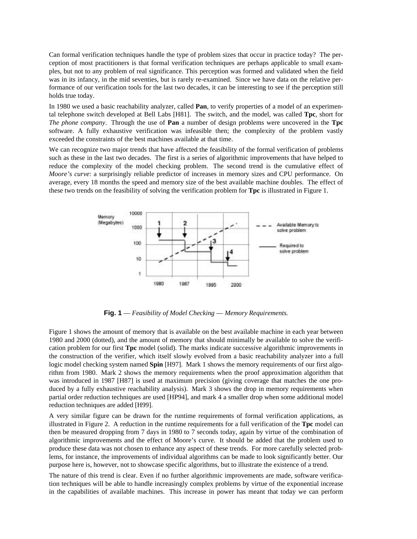Can formal verification techniques handle the type of problem sizes that occur in practice today? The perception of most practitioners is that formal verification techniques are perhaps applicable to small examples, but not to any problem of real significance. This perception was formed and validated when the field was in its infancy, in the mid seventies, but is rarely re-examined. Since we have data on the relative performance of our verification tools for the last two decades, it can be interesting to see if the perception still holds true today.

In 1980 we used a basic reachability analyzer, called **Pan**, to verify properties of a model of an experimental telephone switch developed at Bell Labs [H81]. The switch, and the model, was called **Tpc**, short for *The phone company*. Through the use of **Pan** a number of design problems were uncovered in the **Tpc** software. A fully exhaustive verification was infeasible then; the complexity of the problem vastly exceeded the constraints of the best machines available at that time.

We can recognize two major trends that have affected the feasibility of the formal verification of problems such as these in the last two decades. The first is a series of algorithmic improvements that have helped to reduce the complexity of the model checking problem. The second trend is the cumulative effect of *Moore's curve*: a surprisingly reliable predictor of increases in memory sizes and CPU performance. On average, every 18 months the speed and memory size of the best available machine doubles. The effect of these two trends on the feasibility of solving the verification problem for **Tpc** is illustrated in Figure 1.



**Fig. 1** — *Feasibility of Model Checking* — *Memory Requirements.*

Figure 1 shows the amount of memory that is available on the best available machine in each year between 1980 and 2000 (dotted), and the amount of memory that should minimally be available to solve the verification problem for our first **Tpc** model (solid). The marks indicate successive algorithmic improvements in the construction of the verifier, which itself slowly evolved from a basic reachability analyzer into a full logic model checking system named **Spin** [H97]. Mark 1 shows the memory requirements of our first algorithm from 1980. Mark 2 shows the memory requirements when the proof approximation algorithm that was introduced in 1987 [H87] is used at maximum precision (giving coverage that matches the one produced by a fully exhaustive reachability analysis). Mark 3 shows the drop in memory requirements when partial order reduction techniques are used [HP94], and mark 4 a smaller drop when some additional model reduction techniques are added [H99].

A very similar figure can be drawn for the runtime requirements of formal verification applications, as illustrated in Figure 2. A reduction in the runtime requirements for a full verification of the **Tpc** model can then be measured dropping from 7 days in 1980 to 7 seconds today, again by virtue of the combination of algorithmic improvements and the effect of Moore's curve. It should be added that the problem used to produce these data was not chosen to enhance any aspect of these trends. For more carefully selected problems, for instance, the improvements of individual algorithms can be made to look significantly better. Our purpose here is, however, not to showcase specific algorithms, but to illustrate the existence of a trend.

The nature of this trend is clear. Even if no further algorithmic improvements are made, software verification techniques will be able to handle increasingly complex problems by virtue of the exponential increase in the capabilities of available machines. This increase in power has meant that today we can perform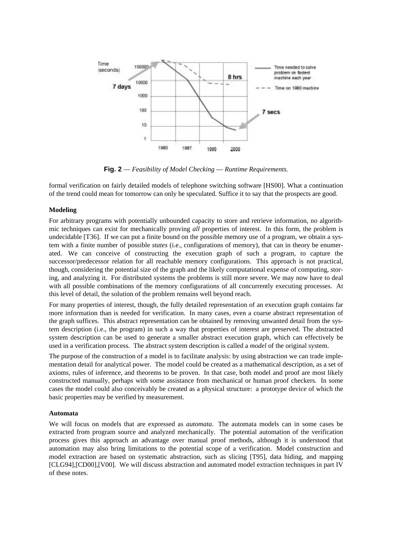

**Fig. 2** — *Feasibility of Model Checking* — *Runtime Requirements.*

formal verification on fairly detailed models of telephone switching software [HS00]. What a continuation of the trend could mean for tomorrow can only be speculated. Suffice it to say that the prospects are good.

# **Modeling**

For arbitrary programs with potentially unbounded capacity to store and retrieve information, no algorithmic techniques can exist for mechanically proving *all* properties of interest. In this form, the problem is undecidable [T36]. If we can put a finite bound on the possible memory use of a program, we obtain a system with a finite number of possible *states* (i.e., configurations of memory), that can in theory be enumerated. We can conceive of constructing the execution graph of such a program, to capture the successor/predecessor relation for all reachable memory configurations. This approach is not practical, though, considering the potential size of the graph and the likely computational expense of computing, storing, and analyzing it. For distributed systems the problems is still more severe. We may now have to deal with all possible combinations of the memory configurations of all concurrently executing processes. At this level of detail, the solution of the problem remains well beyond reach.

For many properties of interest, though, the fully detailed representation of an execution graph contains far more information than is needed for verification. In many cases, even a coarse abstract representation of the graph suffices. This abstract representation can be obtained by removing unwanted detail from the system description (i.e., the program) in such a way that properties of interest are preserved. The abstracted system description can be used to generate a smaller abstract execution graph, which can effectively be used in a verification process. The abstract system description is called a *model* of the original system.

The purpose of the construction of a model is to facilitate analysis: by using abstraction we can trade implementation detail for analytical power. The model could be created as a mathematical description, as a set of axioms, rules of inference, and theorems to be proven. In that case, both model and proof are most likely constructed manually, perhaps with some assistance from mechanical or human proof checkers. In some cases the model could also conceivably be created as a physical structure: a prototype device of which the basic properties may be verified by measurement.

# **Automata**

We will focus on models that are expressed as *automata*. The automata models can in some cases be extracted from program source and analyzed mechanically. The potential automation of the verification process gives this approach an advantage over manual proof methods, although it is understood that automation may also bring limitations to the potential scope of a verification. Model construction and model extraction are based on systematic abstraction, such as slicing [T95], data hiding, and mapping [CLG94],[CD00],[V00]. We will discuss abstraction and automated model extraction techniques in part IV of these notes.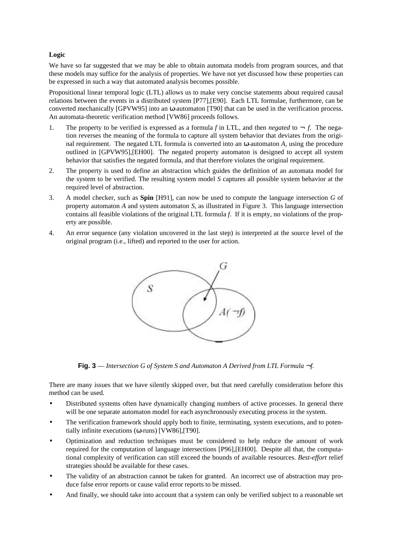# **Logic**

We have so far suggested that we may be able to obtain automata models from program sources, and that these models may suffice for the analysis of properties. We have not yet discussed how these properties can be expressed in such a way that automated analysis becomes possible.

Propositional linear temporal logic (LTL) allows us to make very concise statements about required causal relations between the events in a distributed system [P77],[E90]. Each LTL formulae, furthermore, can be converted mechanically [GPVW95] into an ω-automaton [T90] that can be used in the verification process. An automata-theoretic verification method [VW86] proceeds follows.

- 1. The property to be verified is expressed as a formula *f* in LTL, and then *negated* to  $\rightarrow$  *f*. The negation reverses the meaning of the formula to capture all system behavior that deviates from the original requirement. The negated LTL formula is converted into an ω-automaton *A*, using the procedure outlined in [GPVW95],[EH00]. The negated property automaton is designed to accept all system behavior that satisfies the negated formula, and that therefore violates the original requirement.
- 2. The property is used to define an abstraction which guides the definition of an automata model for the system to be verified. The resulting system model *S* captures all possible system behavior at the required level of abstraction.
- 3. A model checker, such as **Spin** [H91], can now be used to compute the language intersection *G* of property automaton *A* and system automaton *S*, as illustrated in Figure 3. This language intersection contains all feasible violations of the original LTL formula *f*. If it is empty, no violations of the property are possible.
- 4. An error sequence (any violation uncovered in the last step) is interpreted at the source level of the original program (i.e., lifted) and reported to the user for action.



**Fig. 3** — *Intersection G of System S and Automaton A Derived from LTL Formula* ¬*f.*

There are many issues that we have silently skipped over, but that need carefully consideration before this method can be used.

- Distributed systems often have dynamically changing numbers of active processes. In general there will be one separate automaton model for each asynchronously executing process in the system.
- The verification framework should apply both to finite, terminating, system executions, and to potentially infinite executions (ω-runs) [VW86],[T90].
- Optimization and reduction techniques must be considered to help reduce the amount of work required for the computation of language intersections [P96],[EH00]. Despite all that, the computational complexity of verification can still exceed the bounds of available resources. *Best-effort* relief strategies should be available for these cases.
- The validity of an abstraction cannot be taken for granted. An incorrect use of abstraction may produce false error reports or cause valid error reports to be missed.
- And finally, we should take into account that a system can only be verified subject to a reasonable set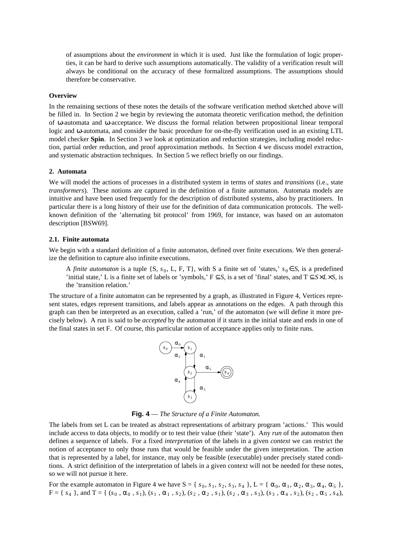of assumptions about the *environment* in which it is used. Just like the formulation of logic properties, it can be hard to derive such assumptions automatically. The validity of a verification result will always be conditional on the accuracy of these formalized assumptions. The assumptions should therefore be conservative.

#### **Overview**

In the remaining sections of these notes the details of the software verification method sketched above will be filled in. In Section 2 we begin by reviewing the automata theoretic verification method, the definition of ω-automata and ω-acceptance. We discuss the formal relation between propositional linear temporal logic and ω-automata, and consider the basic procedure for on-the-fly verification used in an existing LTL model checker **Spin**. In Section 3 we look at optimization and reduction strategies, including model reduction, partial order reduction, and proof approximation methods. In Section 4 we discuss model extraction, and systematic abstraction techniques. In Section 5 we reflect briefly on our findings.

#### **2. Automata**

We will model the actions of processes in a distributed system in terms of *states* and *transitions* (i.e., state *transformers*). These notions are captured in the definition of a finite automaton. Automata models are intuitive and have been used frequently for the description of distributed systems, also by practitioners. In particular there is a long history of their use for the definition of data communication protocols. The wellknown definition of the 'alternating bit protocol' from 1969, for instance, was based on an automaton description [BSW69].

## **2.1. Finite automata**

We begin with a standard definition of a finite automaton, defined over finite executions. We then generalize the definition to capture also infinite executions.

A *finite automaton* is a tuple {S,  $s_0$ , L, F, T}, with S a finite set of 'states,'  $s_0 \in S$ , is a predefined 'initial state,' L is a finite set of labels or 'symbols,' F ⊆*S*, is a set of 'final' states, and T ⊆*S*×*L*×*S*, is the 'transition relation.'

The structure of a finite automaton can be represented by a graph, as illustrated in Figure 4, Vertices represent states, edges represent transitions, and labels appear as annotations on the edges. A path through this graph can then be interpreted as an execution, called a 'run,' of the automaton (we will define it more precisely below). A run is said to be *accepted* by the automaton if it starts in the initial state and ends in one of the final states in set F. Of course, this particular notion of acceptance applies only to finite runs.



**Fig. 4** — *The Structure of a Finite Automaton.*

The labels from set L can be treated as abstract representations of arbitrary program 'actions.' This would include access to data objects, to modify or to test their value (their 'state'). Any *run* of the automaton then defines a sequence of labels. For a fixed *interpretation* of the labels in a given *context* we can restrict the notion of acceptance to only those runs that would be feasible under the given interpretation. The action that is represented by a label, for instance, may only be feasible (executable) under precisely stated conditions. A strict definition of the interpretation of labels in a given context will not be needed for these notes, so we will not pursue it here.

For the example automaton in Figure 4 we have  $S = \{s_0, s_1, s_2, s_3, s_4\}$ ,  $L = \{\alpha_0, \alpha_1, \alpha_2, \alpha_3, \alpha_4, \alpha_5\}$ ,  $F = \{ s_4 \}$ , and  $T = \{ (s_0, \alpha_0, s_1), (s_1, \alpha_1, s_2), (s_2, \alpha_2, s_1), (s_2, \alpha_3, s_3), (s_3, \alpha_4, s_2), (s_2, \alpha_5, s_4),$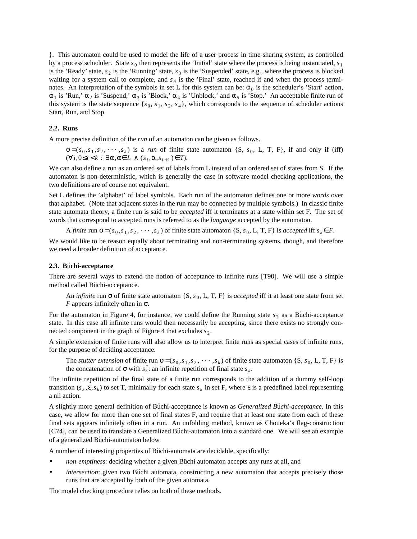}. This automaton could be used to model the life of a user process in time-sharing system, as controlled by a process scheduler. State  $s_0$  then represents the 'Initial' state where the process is being instantiated,  $s_1$ is the 'Ready' state,  $s_2$  is the 'Running' state,  $s_3$  is the 'Suspended' state, e.g., where the process is blocked waiting for a system call to complete, and  $s_4$  is the 'Final' state, reached if and when the process terminates. An interpretation of the symbols in set L for this system can be:  $\alpha_0$  is the scheduler's 'Start' action,  $\alpha_1$  is 'Run,'  $\alpha_2$  is 'Suspend,'  $\alpha_3$  is 'Block,'  $\alpha_4$  is 'Unblock,' and  $\alpha_5$  is 'Stop.' An acceptable finite run of this system is the state sequence  $\{s_0, s_1, s_2, s_4\}$ , which corresponds to the sequence of scheduler actions Start, Run, and Stop.

## **2.2. Runs**

A more precise definition of the *run* of an automaton can be given as follows.

 $\sigma = (s_0, s_1, s_2, \dots, s_k)$  is a *run* of finite state automaton {S,  $s_0$ , L, T, F}, if and only if (iff)  $(\forall i, 0 \le i < k : \exists \alpha, \alpha \in L \land (s_i, \alpha, s_{i+1}) \in T).$ 

We can also define a run as an ordered set of labels from L instead of an ordered set of states from S. If the automaton is non-deterministic, which is generally the case in software model checking applications, the two definitions are of course not equivalent.

Set L defines the 'alphabet' of label symbols. Each run of the automaton defines one or more *words* over that alphabet. (Note that adjacent states in the run may be connected by multiple symbols.) In classic finite state automata theory, a finite run is said to be *accepted* iff it terminates at a state within set F. The set of words that correspond to accepted runs is referred to as the *language* accepted by the automaton.

A *finite* run  $\sigma = (s_0, s_1, s_2, \cdots, s_k)$  of finite state automaton  $\{S, s_0, L, T, F\}$  is *accepted* iff  $s_k \in F$ .

We would like to be reason equally about terminating and non-terminating systems, though, and therefore we need a broader definition of acceptance.

# **2.3. B**u ..**chi-acceptance**

There are several ways to extend the notion of acceptance to infinite runs [T90]. We will use a simple method called Buchi-acceptance.

An *infinite* run  $\sigma$  of finite state automaton {S,  $s_0$ , L, T, F} is *accepted* iff it at least one state from set *F* appears infinitely often in  $\sigma$ .

For the automaton in Figure 4, for instance, we could define the Running state  $s<sub>2</sub>$  as a Buchi-acceptance state. In this case all infinite runs would then necessarily be accepting, since there exists no strongly connected component in the graph of Figure 4 that excludes  $s_2$ .

A simple extension of finite runs will also allow us to interpret finite runs as special cases of infinite runs, for the purpose of deciding acceptance.

The *stutter extension* of finite run  $\sigma = (s_0, s_1, s_2, \dots, s_k)$  of finite state automaton {S,  $s_0$ , L, T, F} is the concatenation of  $\sigma$  with  $s_k^*$ : an infinite repetition of final state  $s_k$ .

The infinite repetition of the final state of a finite run corresponds to the addition of a dummy self-loop transition  $(s_k, \varepsilon, s_k)$  to set T, minimally for each state  $s_k$  in set F, where  $\varepsilon$  is a predefined label representing a nil action.

A slightly more general definition of Büchi-acceptance is known as *Generalized Büchi-acceptance*. In this case, we allow for more than one set of final states F, and require that at least one state from each of these final sets appears infinitely often in a run. An unfolding method, known as Choueka's flag-construction [C74], can be used to translate a Generalized Buchi-automaton into a standard one. We will see an example of a generalized Buchi-automaton below

A number of interesting properties of Buchi-automata are decidable, specifically:

- *non-emptiness*: deciding whether a given Büchi automaton accepts any runs at all, and
- *intersection*: given two Büchi automata, constructing a new automaton that accepts precisely those runs that are accepted by both of the given automata.

The model checking procedure relies on both of these methods.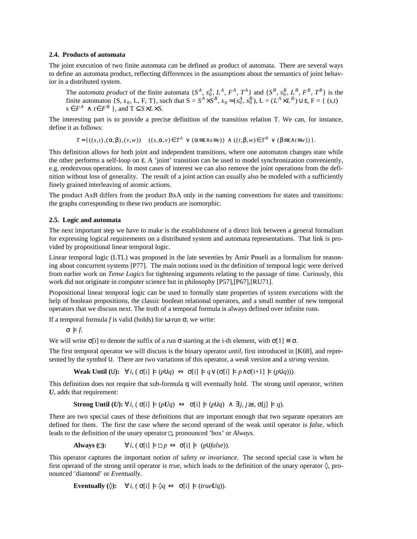# **2.4. Products of automata**

The joint execution of two finite automata can be defined as product of automata. There are several ways to define an automata product, reflecting differences in the assumptions about the semantics of joint behavior in a distributed system.

The *automata product* of the finite automata  $\{S^A, s_0^A, L^A, F^A, T^A\}$  and  $\{S^B, s_0^B, L^B, F^B, T^B\}$  is the finite automaton  $\{S, s_0, L, F, T\}$ , such that  $S = S^A \times S^B$ ,  $s_0 = (s_0^A, s_0^B)$ ,  $L = (L^A \times L^B) \cup \varepsilon$ ,  $F = \{ (s,t) \mid t \in \mathbb{R} \}$  $s \in F^A \land t \in F^B$ , and  $T \subseteq S \times L \times S$ .

The interesting part is to provide a precise definition of the transition relation T. We can, for instance, define it as follows:

 $T = \{((s,t),(\alpha,\beta),(\nu,\nu)) | ((s,\alpha,\nu) \in T^A \lor (\alpha \equiv \varepsilon \land s \equiv \nu)) \land ((t,\beta,\nu) \in T^B \lor (\beta \equiv \varepsilon \land t \equiv \nu))\}.$ 

This definition allows for both joint and independent transitions, where one automaton changes state while the other performs a self-loop on ε. A 'joint' transition can be used to model synchronization conveniently, e.g. rendezvous operations. In most cases of interest we can also remove the joint operations from the definition without loss of generality. The result of a joint action can usually also be modeled with a sufficiently finely grained interleaving of atomic actions.

The product AxB differs from the product BxA only in the naming conventions for states and transitions: the graphs corresponding to these two products are isomorphic.

## **2.5. Logic and automata**

The next important step we have to make is the establishment of a direct link between a general formalism for expressing logical requirements on a distributed system and automata representations. That link is provided by propositional linear temporal logic.

Linear temporal logic (LTL) was proposed in the late seventies by Amir Pnueli as a formalism for reasoning about concurrent systems [P77]. The main notions used in the definition of temporal logic were derived from earlier work on *Tense Logics* for tightening arguments relating to the passage of time. Curiously, this work did not originate in computer science but in philosophy [P57],[P67],[RU71].

Propositional linear temporal logic can be used to formally state properties of system executions with the help of boolean propositions, the classic boolean relational operators, and a small number of new temporal operators that we discuss next. The truth of a temporal formula is always defined over infinite runs.

If a temporal formula *f* is valid (holds) for ω-run σ, we write:

 $\sigma \models f$ .

We will write  $\sigma[i]$  to denote the suffix of a run  $\sigma$  starting at the i-th element, with  $\sigma[1] \equiv \sigma$ .

The first temporal operator we will discuss is the binary operator *until*, first introduced in [K68], and represented by the symbol U. There are two variations of this operator, a *weak* version and a *strong* version.

**Weak Until** (U):  $\forall i$ ,  $(\sigma[i] \models (p \cup q) \Leftrightarrow \sigma[i] \models q \vee (\sigma[i] \models p \wedge \sigma[i+1] \models (p \cup q))$ .

This definition does not require that sub-formula q will eventually hold. The strong until operator, written *U*, adds that requirement:

**Strong Until**  $(U): \forall i, (\sigma[i] \models (pUq) \Leftrightarrow \sigma[i] \models (pUq) \land \exists j, j \geq i, \sigma[i] \models q)$ .

There are two special cases of these definitions that are important enough that two separate operators are defined for them. The first the case where the second operand of the weak until operator is *false*, which leads to the definition of the unary operator  $\Box$ , pronounced 'box' or *Always*.

**Always**  $\Box$ :  $\forall i, (\sigma[i] \models \Box p \Leftrightarrow \sigma[i] \models (p \cup false)).$ 

This operator captures the important notion of safety or *invariance*. The second special case is when he first operand of the strong until operator is *true*, which leads to the definition of the unary operator  $\Diamond$ , pronounced 'diamond' or *Eventually*.

**Eventually** ( $\Diamond$ ):  $\forall i$ ,  $(\sigma[i] \models \Diamond q \Leftrightarrow \sigma[i] \models (trueUq))$ .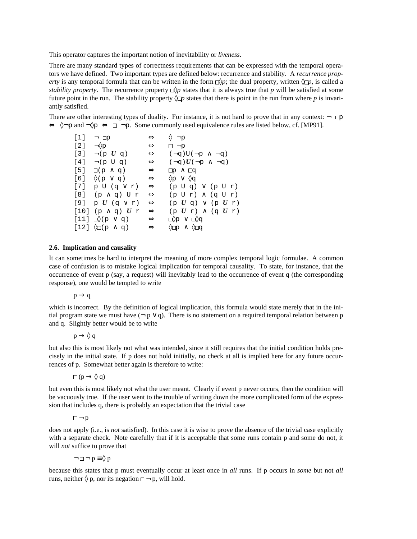This operator captures the important notion of inevitability or *liveness*.

There are many standard types of correctness requirements that can be expressed with the temporal operators we have defined. Two important types are defined below: recurrence and stability. A *recurrence property* is any temporal formula that can be written in the form  $\Box \Diamond p$ ; the dual property, written  $\Diamond \Box p$ , is called a *stability property*. The recurrence property  $\Box \Diamond p$  states that it is always true that p will be satisfied at some future point in the run. The stability property  $\Diamond \Box p$  states that there is point in the run from where p is invariantly satisfied.

There are other interesting types of duality. For instance, it is not hard to prove that in any context:  $\lnot \rhd$  $\Leftrightarrow \Diamond \neg p$  and  $\neg \Diamond p \Leftrightarrow \Box \neg p$ . Some commonly used equivalence rules are listed below, cf. [MP91].

| [1]    | $\neg$ $\neg$                   | $\Leftrightarrow$ | $\Diamond \neg p$                       |
|--------|---------------------------------|-------------------|-----------------------------------------|
| [2]    | $\neg \lozenge_{\mathrm{P}}$    | $\Leftrightarrow$ | $\Box \neg p$                           |
| $[3]$  | $\neg(p U q)$                   | $\Leftrightarrow$ | $(\neg q)U(\neg p \wedge \neg q)$       |
| [4]    | $\neg(p \cup q)$                | $\Leftrightarrow$ | $(\neg q)$ $U(\neg p \wedge \neg q)$    |
| [5]    | $\square(p \wedge q)$           | $\Leftrightarrow$ | $\Box p \land \Box q$                   |
| $[6]$  | $\Diamond(p \lor q)$            | $\Leftrightarrow$ | $\Diamond p \vee \Diamond q$            |
| $[7]$  | p U (q v r)                     | $\Leftrightarrow$ | $(p \cup q) \vee (p \cup r)$            |
| $[8]$  | (р∧q) Ur                        | $\Leftrightarrow$ | $(p U r) \wedge (q U r)$                |
| $[9]$  | p $U$ (q $\vee$ r)              | $\Leftrightarrow$ | $(p U q)$ $\vee$ $(p U r)$              |
| $[10]$ | $(p \wedge q)$ $U$ r            | $\Leftrightarrow$ | $(p U r) \wedge (q U r)$                |
|        | $[11] \cap (p \vee q)$          | $\Leftrightarrow$ | $\square$ p v $\square$ oq              |
|        | $[12]$ $\Diamond$ $(p \land q)$ | $\Leftrightarrow$ | $\Diamond \Box p \land \Diamond \Box q$ |
|        |                                 |                   |                                         |

# **2.6. Implication and causality**

It can sometimes be hard to interpret the meaning of more complex temporal logic formulae. A common case of confusion is to mistake logical implication for temporal causality. To state, for instance, that the occurrence of event p (say, a request) will inevitably lead to the occurrence of event q (the corresponding response), one would be tempted to write

 $p \rightarrow q$ 

which is incorrect. By the definition of logical implication, this formula would state merely that in the initial program state we must have  $(\neg p \lor q)$ . There is no statement on a required temporal relation between p and q. Slightly better would be to write

 $p \rightarrow \Diamond q$ 

but also this is most likely not what was intended, since it still requires that the initial condition holds precisely in the initial state. If p does not hold initially, no check at all is implied here for any future occurrences of p. Somewhat better again is therefore to write:

 $\Box$  (p  $\rightarrow$   $\Diamond$  q)

but even this is most likely not what the user meant. Clearly if event p never occurs, then the condition will be vacuously true. If the user went to the trouble of writing down the more complicated form of the expression that includes q, there is probably an expectation that the trivial case

 $\square \neg p$ 

does not apply (i.e., is *not* satisfied). In this case it is wise to prove the absence of the trivial case explicitly with a separate check. Note carefully that if it is acceptable that some runs contain p and some do not, it will *not* suffice to prove that

 $\neg \Box \neg p \equiv \Diamond p$ 

because this states that p must eventually occur at least once in *all* runs. If p occurs in *some* but not *all* runs, neither  $\Diamond p$ , nor its negation  $\Box \neg p$ , will hold.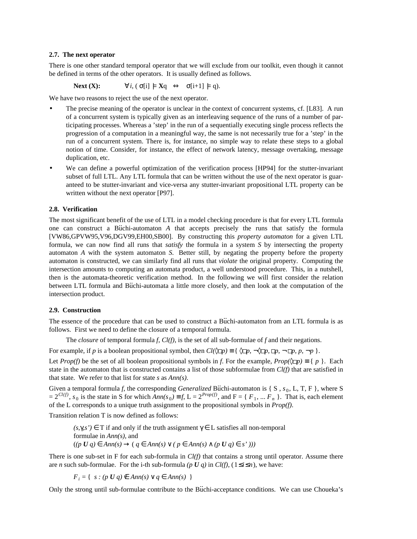# **2.7. The next operator**

There is one other standard temporal operator that we will exclude from our toolkit, even though it cannot be defined in terms of the other operators. It is usually defined as follows.

Next (X): 
$$
\forall i, (\sigma[i] \models Xq \Leftrightarrow \sigma[i+1] \models q)
$$
.

We have two reasons to reject the use of the next operator.

- The precise meaning of the operator is unclear in the context of concurrent systems, cf. [L83]. A run of a concurrent system is typically given as an interleaving sequence of the runs of a number of participating processes. Whereas a 'step' in the run of a sequentially executing single process reflects the progression of a computation in a meaningful way, the same is not necessarily true for a 'step' in the run of a concurrent system. There is, for instance, no simple way to relate these steps to a global notion of time. Consider, for instance, the effect of network latency, message overtaking, message duplication, etc.
- We can define a powerful optimization of the verification process [HP94] for the stutter-invariant subset of full LTL. Any LTL formula that can be written without the use of the next operator is guaranteed to be stutter-invariant and vice-versa any stutter-invariant propositional LTL property can be written without the next operator [P97].

# **2.8. Verification**

The most significant benefit of the use of LTL in a model checking procedure is that for every LTL formula one can construct a Buchi-automaton *A* that accepts precisely the runs that satisfy the formula [VW86,GPVW95,V96,DGV99,EH00,SB00]. By constructing this *property automaton* for a given LTL formula, we can now find all runs that *satisfy* the formula in a system *S* by intersecting the property automaton *A* with the system automaton *S*. Better still, by negating the property before the property automaton is constructed, we can similarly find all runs that *violate* the original property. Computing the intersection amounts to computing an automata product, a well understood procedure. This, in a nutshell, then is the automata-theoretic verification method. In the following we will first consider the relation between LTL formula and Buchi-automata a little more closely, and then look at the computation of the intersection product.

# **2.9. Construction**

The essence of the procedure that can be used to construct a Buchi-automaton from an LTL formula is as follows. First we need to define the closure of a temporal formula.

The *closure* of temporal formula *f*, *Cl(f)*, is the set of all sub-formulae of *f* and their negations.

For example, if *p* is a boolean propositional symbol, then  $Cl(\mathbb{Q}_p) \equiv {\mathbb Q}_p$ ,  $\mathbb{Q}_p$ ,  $\mathbb{Q}_p$ ,  $\mathbb{Q}_p$ ,  $\mathbb{Q}_p$ ,  $\mathbb{Q}_p$ ,  $\mathbb{Q}_p$ ,  $\mathbb{Q}_p$ ,  $\mathbb{Q}_p$ ,  $\mathbb{Q}_p$ ,  $\mathbb{Q}_p$ ,  $\mathbb{Q}_p$ ,  $\mathbb{Q}_p$ ,  $\mathbb{Q}_p$ 

Let *Prop(f)* be the set of all boolean propositional symbols in *f*. For the example,  $Prop(\mathcal{D}) \equiv \{p\}$ . Each state in the automaton that is constructed contains a list of those subformulae from *Cl(f)* that are satisfied in that state. We refer to that list for state *s* as *Ann(s)*.

Given a temporal formula *f*, the corresponding *Generalized* Buchi-automaton is { S ,  $s_0$ , L, T, F }, where S  $= 2^{Cl(f)}$ ,  $s_0$  is the state in S for which  $Ann(s_0) = f$ , L =  $2^{Prop(f)}$ , and F = {  $F_1$ , ...  $F_n$  }. That is, each element of the L corresponds to a unique truth assignment to the propositional symbols in *Prop(f)*.

Transition relation T is now defined as follows:

 $(s, \gamma, s') \in T$  if and only if the truth assignment  $\gamma \in L$  satisfies all non-temporal formulae in *Ann(s)*, and (*(p U q)* ∈ *Ann(s)* → ( *q* ∈ *Ann(s)* ∨ *( p* ∈ *Ann(s)* ∧ *(p U q)* ∈ *s' )))*

There is one sub-set in F for each sub-formula in *Cl(f)* that contains a strong until operator. Assume there are *n* such sub-formulae. For the i-th sub-formula (*p U q*) in *Cl(f)*,  $(1 \le i \le n)$ , we have:

 $F_i = \{ s : (p \ U \ q) \notin Ann(s) \lor q \in Ann(s) \}$ 

Only the strong until sub-formulae contribute to the Buchi-acceptance conditions. We can use Choueka's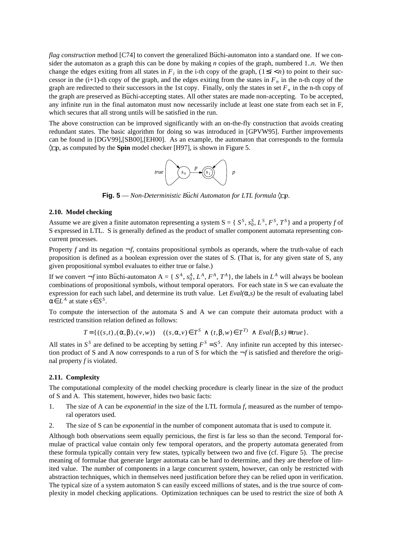*flag construction* method [C74] to convert the generalized Buchi-automaton into a standard one. If we consider the automaton as a graph this can be done by making *n* copies of the graph, numbered 1.*n*. We then change the edges exiting from all states in  $F_i$  in the i-th copy of the graph,  $(1 \le i < n)$  to point to their successor in the  $(i+1)$ -th copy of the graph, and the edges exiting from the states in  $F_n$  in the n-th copy of the graph are redirected to their successors in the 1st copy. Finally, only the states in set  $F_n$  in the n-th copy of the graph are preserved as Büchi-accepting states. All other states are made non-accepting. To be accepted, any infinite run in the final automaton must now necessarily include at least one state from each set in F, which secures that all strong untils will be satisfied in the run.

The above construction can be improved significantly with an on-the-fly construction that avoids creating redundant states. The basic algorithm for doing so was introduced in [GPVW95]. Further improvements can be found in [DGV99],[SB00],[EH00]. As an example, the automaton that corresponds to the formula ◊ p, as computed by the **Spin** model checker [H97], is shown in Figure 5.



**Fig. 5** − *Non-Deterministic Büchi Automaton for LTL formula*  $\Diamond$  *p.* 

# **2.10. Model checking**

Assume we are given a finite automaton representing a system  $S = \{S^S, s_0^S, L^S, F^S, T^S\}$  and a property *f* of S expressed in LTL. S is generally defined as the product of smaller component automata representing concurrent processes.

Property *f* and its negation  $\neg f$ , contains propositional symbols as operands, where the truth-value of each proposition is defined as a boolean expression over the states of S. (That is, for any given state of S, any given propositional symbol evaluates to either true or false.)

If we convert  $\neg f$  into Buchi-automaton A = {  $S^A$ ,  $s_0^A$ ,  $L^A$ ,  $F^A$ ,  $T^A$ }, the labels in  $L^A$  will always be boolean combinations of propositional symbols, without temporal operators. For each state in S we can evaluate the expression for each such label, and determine its truth value. Let *Eval(*α*,s)* be the result of evaluating label  $\alpha \in L^A$  at state  $s \in S^S$ .

To compute the intersection of the automata S and A we can compute their automata product with a restricted transition relation defined as follows:

$$
T = \{ ((s,t), (\alpha, \beta), (v,w)) \mid ((s, \alpha, v) \in T^S \land (t, \beta, w) \in T^T) \land \text{Eval}(\beta, s) \equiv \text{true} \}.
$$

All states in  $S^S$  are defined to be accepting by setting  $F^S = S^S$ . Any infinite run accepted by this intersection product of S and A now corresponds to a run of S for which the  $-f$  is satisfied and therefore the original property *f* is violated.

#### **2.11. Complexity**

The computational complexity of the model checking procedure is clearly linear in the size of the product of S and A. This statement, however, hides two basic facts:

- 1. The size of A can be *exponential* in the size of the LTL formula *f*, measured as the number of temporal operators used.
- 2. The size of S can be *exponential* in the number of component automata that is used to compute it.

Although both observations seem equally pernicious, the first is far less so than the second. Temporal formulae of practical value contain only few temporal operators, and the property automata generated from these formula typically contain very few states, typically between two and five (cf. Figure 5). The precise meaning of formulae that generate larger automata can be hard to determine, and they are therefore of limited value. The number of components in a large concurrent system, however, can only be restricted with abstraction techniques, which in themselves need justification before they can be relied upon in verification. The typical size of a system automaton S can easily exceed millions of states, and is the true source of complexity in model checking applications. Optimization techniques can be used to restrict the size of both A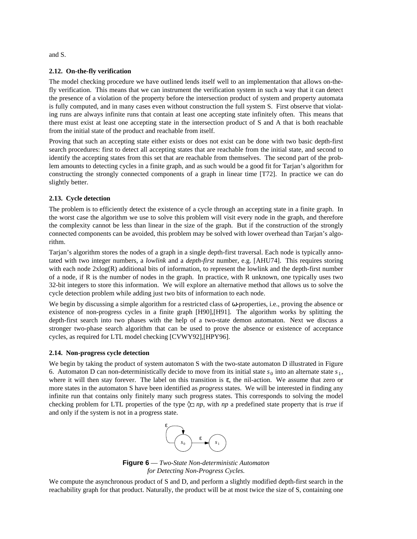and S.

# **2.12. On-the-fly verification**

The model checking procedure we have outlined lends itself well to an implementation that allows on-thefly verification. This means that we can instrument the verification system in such a way that it can detect the presence of a violation of the property before the intersection product of system and property automata is fully computed, and in many cases even without construction the full system S. First observe that violating runs are always infinite runs that contain at least one accepting state infinitely often. This means that there must exist at least one accepting state in the intersection product of S and A that is both reachable from the initial state of the product and reachable from itself.

Proving that such an accepting state either exists or does not exist can be done with two basic depth-first search procedures: first to detect all accepting states that are reachable from the initial state, and second to identify the accepting states from this set that are reachable from themselves. The second part of the problem amounts to detecting cycles in a finite graph, and as such would be a good fit for Tarjan's algorithm for constructing the strongly connected components of a graph in linear time [T72]. In practice we can do slightly better.

# **2.13. Cycle detection**

The problem is to efficiently detect the existence of a cycle through an accepting state in a finite graph. In the worst case the algorithm we use to solve this problem will visit every node in the graph, and therefore the complexity cannot be less than linear in the size of the graph. But if the construction of the strongly connected components can be avoided, this problem may be solved with lower overhead than Tarjan's algorithm.

Tarjan's algorithm stores the nodes of a graph in a single depth-first traversal. Each node is typically annotated with two integer numbers, a *lowlink* and a *depth-first* number, e.g. [AHU74]. This requires storing with each node  $2xlog(R)$  additional bits of information, to represent the lowlink and the depth-first number of a node, if R is the number of nodes in the graph. In practice, with R unknown, one typically uses two 32-bit integers to store this information. We will explore an alternative method that allows us to solve the cycle detection problem while adding just two bits of information to each node.

We begin by discussing a simple algorithm for a restricted class of ω-properties, i.e., proving the absence or existence of non-progress cycles in a finite graph [H90],[H91]. The algorithm works by splitting the depth-first search into two phases with the help of a two-state demon automaton. Next we discuss a stronger two-phase search algorithm that can be used to prove the absence or existence of acceptance cycles, as required for LTL model checking [CVWY92],[HPY96].

# **2.14. Non-progress cycle detection**

We begin by taking the product of system automaton S with the two-state automaton D illustrated in Figure 6. Automaton D can non-deterministically decide to move from its initial state  $s_0$  into an alternate state  $s_1$ , where it will then stay forever. The label on this transition is  $\varepsilon$ , the nil-action. We assume that zero or more states in the automaton S have been identified as *progress* states. We will be interested in finding any infinite run that contains only finitely many such progress states. This corresponds to solving the model checking problem for LTL properties of the type  $\Diamond$  *np*, with *np* a predefined state property that is *true* if and only if the system is not in a progress state.



**Figure 6** — *Two-State Non-deterministic Automaton for Detecting Non-Progress Cycles.*

We compute the asynchronous product of S and D, and perform a slightly modified depth-first search in the reachability graph for that product. Naturally, the product will be at most twice the size of S, containing one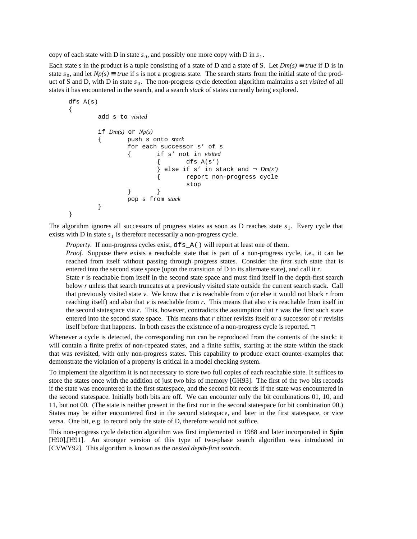copy of each state with D in state  $s_0$ , and possibly one more copy with D in  $s_1$ .

{

}

Each state s in the product is a tuple consisting of a state of D and a state of S. Let  $Dm(s) \equiv true$  if D is in state  $s_0$ , and let  $Np(s) \equiv true$  if s is not a progress state. The search starts from the initial state of the product of S and D, with D in state  $s_0$ . The non-progress cycle detection algorithm maintains a set *visited* of all states it has encountered in the search, and a search *stack* of states currently being explored.

```
dfs_A(s)
        add s to visited
        if Dm(s) or Np(s)
        { push s onto stack
                for each successor s' of s
                        { if s' not in visited
                                dfs_A(s')else if s' in stack and \neg Dm(s')
                        { report non-progress cycle
                                stop
                } }
                pop s from stack
        }
```
The algorithm ignores all successors of progress states as soon as D reaches state  $s_1$ . Every cycle that exists with D in state  $s_1$  is therefore necessarily a non-progress cycle.

*Property.* If non-progress cycles exist,  $dfs_A()$  will report at least one of them. *Proof.* Suppose there exists a reachable state that is part of a non-progress cycle, i.e., it can be reached from itself without passing through progress states. Consider the *first* such state that is entered into the second state space (upon the transition of D to its alternate state), and call it *r*. State *r* is reachable from itself in the second state space and must find itself in the depth-first search

below *r* unless that search truncates at a previously visited state outside the current search stack. Call that previously visited state  $v$ . We know that  $r$  is reachable from  $v$  (or else it would not block  $r$  from reaching itself) and also that  $\nu$  is reachable from  $r$ . This means that also  $\nu$  is reachable from itself in the second statespace via  $r$ . This, however, contradicts the assumption that  $r$  was the first such state entered into the second state space. This means that *r* either revisits itself or a successor of *r* revisits itself before that happens. In both cases the existence of a non-progress cycle is reported.  $\Box$ 

Whenever a cycle is detected, the corresponding run can be reproduced from the contents of the stack: it will contain a finite prefix of non-repeated states, and a finite suffix, starting at the state within the stack that was revisited, with only non-progress states. This capability to produce exact counter-examples that demonstrate the violation of a property is critical in a model checking system.

To implement the algorithm it is not necessary to store two full copies of each reachable state. It suffices to store the states once with the addition of just two bits of memory [GH93]. The first of the two bits records if the state was encountered in the first statespace, and the second bit records if the state was encountered in the second statespace. Initially both bits are off. We can encounter only the bit combinations 01, 10, and 11, but not 00. (The state is neither present in the first nor in the second statespace for bit combination 00.) States may be either encountered first in the second statespace, and later in the first statespace, or vice versa. One bit, e.g. to record only the state of D, therefore would not suffice.

This non-progress cycle detection algorithm was first implemented in 1988 and later incorporated in **Spin** [H90],[H91]. An stronger version of this type of two-phase search algorithm was introduced in [CVWY92]. This algorithm is known as the *nested depth-first search*.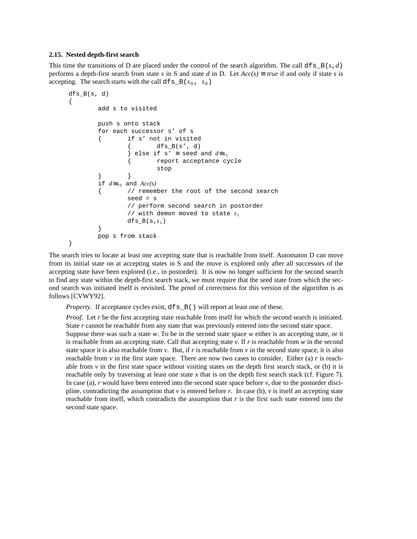## **2.15. Nested depth-first search**

This time the transitions of D are placed under the control of the search algorithm. The call  $dfs_B(s, d)$ performs a depth-first search from state *s* in S and state *d* in D. Let  $Acc(s) \equiv true$  if and only if state *s* is accepting. The search starts with the call  $dfs_B(s_0, s_0)$ 

```
dfsB(s, d){
        add s to visited
        push s onto stack
        for each successor s' of s
        { if s' not in visited
                 \{ dfs_B(s', d)
                 } else if s' ≡ seed and d \equiv s_1{ report acceptance cycle
                         stop
                 } }
        if d \equiv s_0 and Acc(s)// remember the root of the second search
                 seed = s
                 // perform second search in postorder
                 // with demon moved to state s_1dfs_B(s,s_1)}
        pop s from stack
}
```
The search tries to locate at least one accepting state that is reachable from itself. Automaton D can move from its initial state on at accepting states in S and the move is explored only after all successors of the accepting state have been explored (i.e., in postorder). It is now no longer sufficient for the second search to find any state within the depth-first search stack, we must require that the seed state from which the second search was initiated itself is revisited. The proof of correctness for this version of the algorithm is as follows [CVWY92].

*Property.* If acceptance cycles exist,  $dfs_B()$  will report at least one of these.

*Proof.* Let *r* be the first accepting state reachable from itself for which the second search is initiated. State *r* cannot be reachable from any state that was previously entered into the second state space.

Suppose there was such a state *w*. To be in the second state space *w* either is an accepting state, or it is reachable from an accepting state. Call that accepting state  $\nu$ . If  $r$  is reachable from  $w$  in the second state space it is also reachable from  $v$ . But, if *r* is reachable from  $v$  in the second state space, it is also reachable from  $\nu$  in the first state space. There are now two cases to consider. Either (a)  $r$  is reachable from  $\nu$  in the first state space without visiting states on the depth first search stack, or (b) it is reachable only by traversing at least one state x that is on the depth first search stack (cf. Figure 7). In case (a),  $r$  would have been entered into the second state space before  $v$ , due to the postorder discipline, contradicting the assumption that  $v$  is entered before  $r$ . In case (b),  $v$  is itself an accepting state reachable from itself, which contradicts the assumption that *r* is the first such state entered into the second state space.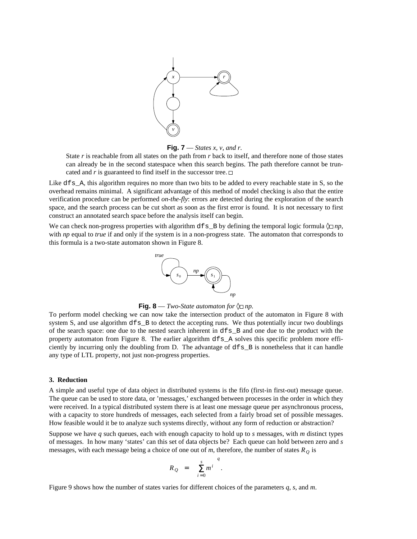



State *r* is reachable from all states on the path from *r* back to itself, and therefore none of those states can already be in the second statespace when this search begins. The path therefore cannot be truncated and  $r$  is guaranteed to find itself in the successor tree.  $\Box$ 

Like  $df_s$  A, this algorithm requires no more than two bits to be added to every reachable state in S, so the overhead remains minimal. A significant advantage of this method of model checking is also that the entire verification procedure can be performed *on-the-fly*: errors are detected during the exploration of the search space, and the search process can be cut short as soon as the first error is found. It is not necessary to first construct an annotated search space before the analysis itself can begin.

We can check non-progress properties with algorithm  $dfs_B$  by defining the temporal logic formula  $\Diamond$ *np*, with *np* equal to *true* if and only if the system is in a non-progress state. The automaton that corresponds to this formula is a two-state automaton shown in Figure 8.



**Fig. 8** — *Two-State automaton for*  $\Diamond$  *np.* 

To perform model checking we can now take the intersection product of the automaton in Figure 8 with system S, and use algorithm dfs B to detect the accepting runs. We thus potentially incur two doublings of the search space: one due to the nested search inherent in dfs\_B and one due to the product with the property automaton from Figure 8. The earlier algorithm dfs\_A solves this specific problem more efficiently by incurring only the doubling from D. The advantage of dfs\_B is nonetheless that it can handle any type of LTL property, not just non-progress properties.

#### **3. Reduction**

A simple and useful type of data object in distributed systems is the fifo (first-in first-out) message queue. The queue can be used to store data, or 'messages,' exchanged between processes in the order in which they were received. In a typical distributed system there is at least one message queue per asynchronous process, with a capacity to store hundreds of messages, each selected from a fairly broad set of possible messages. How feasible would it be to analyze such systems directly, without any form of reduction or abstraction?

Suppose we have *q* such queues, each with enough capacity to hold up to *s* messages, with *m* distinct types of messages. In how many 'states' can this set of data objects be? Each queue can hold between zero and *s* messages, with each message being a choice of one out of *m*, therefore, the number of states  $R<sub>O</sub>$  is

$$
R_Q = \left[\sum_{i=0}^s m^i\right]^q.
$$

Figure 9 shows how the number of states varies for different choices of the parameters *q*, *s*, and *m*.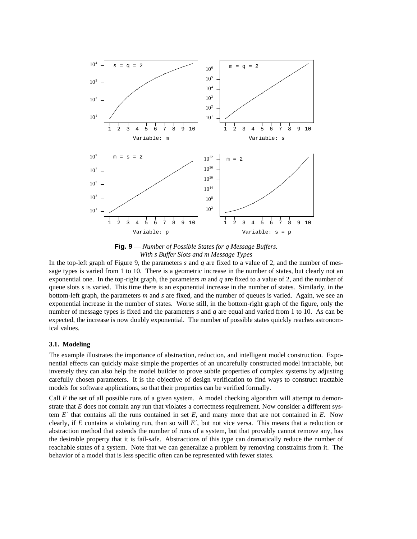

**Fig. 9** — *Number of Possible States for q Message Buffers. With s Buffer Slots and m Message Types*

In the top-left graph of Figure 9, the parameters *s* and *q* are fixed to a value of 2, and the number of message types is varied from 1 to 10. There is a geometric increase in the number of states, but clearly not an exponential one. In the top-right graph, the parameters *m* and *q* are fixed to a value of 2, and the number of queue slots *s* is varied. This time there is an exponential increase in the number of states. Similarly, in the bottom-left graph, the parameters *m* and *s* are fixed, and the number of queues is varied. Again, we see an exponential increase in the number of states. Worse still, in the bottom-right graph of the figure, only the number of message types is fixed and the parameters *s* and *q* are equal and varied from 1 to 10. As can be expected, the increase is now doubly exponential. The number of possible states quickly reaches astronomical values.

#### **3.1. Modeling**

The example illustrates the importance of abstraction, reduction, and intelligent model construction. Exponential effects can quickly make simple the properties of an uncarefully constructed model intractable, but inversely they can also help the model builder to prove subtle properties of complex systems by adjusting carefully chosen parameters. It is the objective of design verification to find ways to construct tractable models for software applications, so that their properties can be verified formally.

Call *E* the set of all possible runs of a given system. A model checking algorithm will attempt to demonstrate that *E* does not contain any run that violates a correctness requirement. Now consider a different system *E*′ that contains all the runs contained in set *E*, and many more that are not contained in *E*. Now clearly, if *E* contains a violating run, than so will *E*′, but not vice versa. This means that a reduction or abstraction method that extends the number of runs of a system, but that provably cannot remove any, has the desirable property that it is fail-safe. Abstractions of this type can dramatically reduce the number of reachable states of a system. Note that we can generalize a problem by removing constraints from it. The behavior of a model that is less specific often can be represented with fewer states.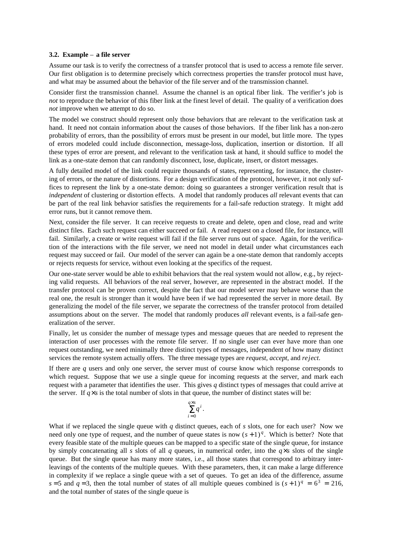## **3.2. Example** – **a file server**

Assume our task is to verify the correctness of a transfer protocol that is used to access a remote file server. Our first obligation is to determine precisely which correctness properties the transfer protocol must have, and what may be assumed about the behavior of the file server and of the transmission channel.

Consider first the transmission channel. Assume the channel is an optical fiber link. The verifier's job is *not* to reproduce the behavior of this fiber link at the finest level of detail. The quality of a verification does *not* improve when we attempt to do so.

The model we construct should represent only those behaviors that are relevant to the verification task at hand. It need not contain information about the causes of those behaviors. If the fiber link has a non-zero probability of errors, than the possibility of errors must be present in our model, but little more. The types of errors modeled could include disconnection, message-loss, duplication, insertion or distortion. If all these types of error are present, and relevant to the verification task at hand, it should suffice to model the link as a one-state demon that can randomly disconnect, lose, duplicate, insert, or distort messages.

A fully detailed model of the link could require thousands of states, representing, for instance, the clustering of errors, or the nature of distortions. For a design verification of the protocol, however, it not only suffices to represent the link by a one-state demon: doing so guarantees a stronger verification result that is *independent* of clustering or distortion effects. A model that randomly produces *all* relevant events that can be part of the real link behavior satisfies the requirements for a fail-safe reduction strategy. It might add error runs, but it cannot remove them.

Next, consider the file server. It can receive requests to create and delete, open and close, read and write distinct files. Each such request can either succeed or fail. A read request on a closed file, for instance, will fail. Similarly, a create or write request will fail if the file server runs out of space. Again, for the verification of the interactions with the file server, we need not model in detail under what circumstances each request may succeed or fail. Our model of the server can again be a one-state demon that randomly accepts or rejects requests for service, without even looking at the specifics of the request.

Our one-state server would be able to exhibit behaviors that the real system would not allow, e.g., by rejecting valid requests. All behaviors of the real server, however, are represented in the abstract model. If the transfer protocol can be proven correct, despite the fact that our model server may behave worse than the real one, the result is stronger than it would have been if we had represented the server in more detail. By generalizing the model of the file server, we separate the correctness of the transfer protocol from detailed assumptions about on the server. The model that randomly produces *all* relevant events, is a fail-safe generalization of the server.

Finally, let us consider the number of message types and message queues that are needed to represent the interaction of user processes with the remote file server. If no single user can ever have more than one request outstanding, we need minimally three distinct types of messages, independent of how many distinct services the remote system actually offers. The three message types are *request*, *accept*, and *reject*.

If there are *q* users and only one server, the server must of course know which response corresponds to which request. Suppose that we use a single queue for incoming requests at the server, and mark each request with a parameter that identifies the user. This gives *q* distinct types of messages that could arrive at the server. If  $q \times s$  is the total number of slots in that queue, the number of distinct states will be:

$$
\sum_{i=0}^{q\times s}q^i.
$$

What if we replaced the single queue with *q* distinct queues, each of *s* slots, one for each user? Now we need only one type of request, and the number of queue states is now  $(s + 1)^q$ . Which is better? Note that every feasible state of the multiple queues can be mapped to a specific state of the single queue, for instance by simply concatenating all *s* slots of all *q* queues, in numerical order, into the  $q \times s$  slots of the single queue. But the single queue has many more states, i.e., all those states that correspond to arbitrary interleavings of the contents of the multiple queues. With these parameters, then, it can make a large difference in complexity if we replace a single queue with a set of queues. To get an idea of the difference, assume  $s = 5$  and  $q = 3$ , then the total number of states of all multiple queues combined is  $(s + 1)^q = 6^3 = 216$ , and the total number of states of the single queue is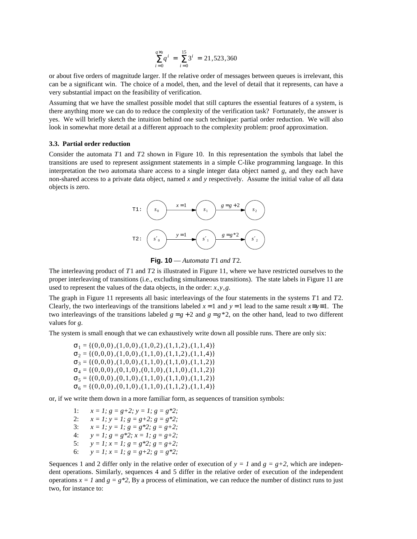$$
\sum_{i=0}^{q \times s} q^i = \sum_{i=0}^{15} 3^i = 21,523,360
$$

or about five orders of magnitude larger. If the relative order of messages between queues is irrelevant, this can be a significant win. The choice of a model, then, and the level of detail that it represents, can have a very substantial impact on the feasibility of verification.

Assuming that we have the smallest possible model that still captures the essential features of a system, is there anything more we can do to reduce the complexity of the verification task? Fortunately, the answer is yes. We will briefly sketch the intuition behind one such technique: partial order reduction. We will also look in somewhat more detail at a different approach to the complexity problem: proof approximation.

#### **3.3. Partial order reduction**

Consider the automata *T*1 and *T*2 shown in Figure 10. In this representation the symbols that label the transitions are used to represent assignment statements in a simple C-like programming language. In this interpretation the two automata share access to a single integer data object named *g*, and they each have non-shared access to a private data object, named *x* and *y* respectively. Assume the initial value of all data objects is zero.



**Fig. 10** — *Automata T*1 *and T*2*.*

The interleaving product of *T*1 and *T*2 is illustrated in Figure 11, where we have restricted ourselves to the proper interleaving of transitions (i.e., excluding simultaneous transitions). The state labels in Figure 11 are used to represent the values of the data objects, in the order: *x*,*y*,*g*.

The graph in Figure 11 represents all basic interleavings of the four statements in the systems *T*1 and *T*2. Clearly, the two interleavings of the transitions labeled  $x = 1$  and  $y = 1$  lead to the same result  $x \equiv y \equiv 1$ . The two interleavings of the transitions labeled  $g = g + 2$  and  $g = g * 2$ , on the other hand, lead to two different values for *g*.

The system is small enough that we can exhaustively write down all possible runs. There are only six:

 $\sigma_1 = \{(0, 0, 0), (1, 0, 0), (1, 0, 2), (1, 1, 2), (1, 1, 4)\}\$  $\sigma_2 = \{(0,0,0), (1,0,0), (1,1,0), (1,1,2), (1,1,4)\}\$  $\sigma_3 = \{(0,0,0), (1,0,0), (1,1,0), (1,1,0), (1,1,2)\}\$  $\sigma_4 = \{(0,0,0), (0,1,0), (0,1,0), (1,1,0), (1,1,2)\}\$  $\sigma_5 = \{(0, 0, 0), (0, 1, 0), (1, 1, 0), (1, 1, 0), (1, 1, 2)\}\$  $\sigma_6 = \{(0, 0, 0), (0, 1, 0), (1, 1, 0), (1, 1, 2), (1, 1, 4)\}\$ 

or, if we write them down in a more familiar form, as sequences of transition symbols:

1:  $x = 1$ ;  $g = g+2$ ;  $y = 1$ ;  $g = g*2$ ; 2:  $x = 1$ ;  $y = 1$ ;  $g = g+2$ ;  $g = g*2$ ; 3:  $x = 1$ ;  $y = 1$ ;  $g = g * 2$ ;  $g = g + 2$ ; 4:  $y = 1$ ;  $g = g * 2$ ;  $x = 1$ ;  $g = g + 2$ ; 5:  $y = 1$ ;  $x = 1$ ;  $g = g * 2$ ;  $g = g + 2$ ; 6:  $y = 1$ ;  $x = 1$ ;  $g = g + 2$ ;  $g = g * 2$ ;

Sequences 1 and 2 differ only in the relative order of execution of  $y = 1$  and  $g = g+2$ , which are independent operations. Similarly, sequences 4 and 5 differ in the relative order of execution of the independent operations  $x = 1$  and  $g = g * 2$ , By a process of elimination, we can reduce the number of distinct runs to just two, for instance to: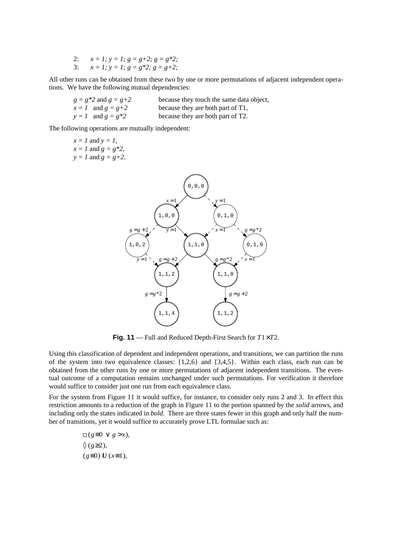- 2: *x = 1; y = 1; g = g+2; g = g\*2;*
- 3:  $x = 1$ ;  $y = 1$ ;  $g = g * 2$ ;  $g = g + 2$ ;

All other runs can be obtained from these two by one or more permutations of adjacent independent operations. We have the following mutual dependencies:

| $g = g*2$ and $g = g+2$ | because they touch the same data object, |
|-------------------------|------------------------------------------|
| $x = 1$ and $g = g + 2$ | because they are both part of T1,        |
| $y = 1$ and $g = g*2$   | because they are both part of T2.        |

The following operations are mutually independent:

|  | $x = 1$ and $y = 1$ ,   |
|--|-------------------------|
|  | $x = 1$ and $g = g*2$ , |
|  | $y = 1$ and $g = g+2$ . |



**Fig. 11** — Full and Reduced Depth-First Search for *T*1×*T*2.

Using this classification of dependent and independent operations, and transitions, we can partition the runs of the system into two equivalence classes: {1,2,6} and {3,4,5}. Within each class, each run can be obtained from the other runs by one or more permutations of adjacent independent transitions. The eventual outcome of a computation remains unchanged under such permutations. For verification it therefore would suffice to consider just one run from each equivalence class.

For the system from Figure 11 it would suffice, for instance, to consider only runs 2 and 3. In effect this restriction amounts to a reduction of the graph in Figure 11 to the portion spanned by the *solid* arrows, and including only the states indicated in *bold*. There are three states fewer in this graph and only half the number of transitions, yet it would suffice to accurately prove LTL formulae such as:

> $□$ ( $g \equiv 0 \lor g > x$ ), ◊ (*g*≥2 ),  $(g \equiv 0) U (x \equiv 1),$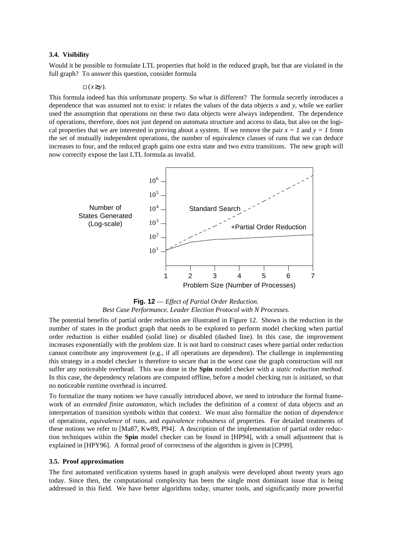# **3.4. Visibility**

Would it be possible to formulate LTL properties that hold in the reduced graph, but that are violated in the full graph? To answer this question, consider formula

 $\Box$  ( $x \geq y$ ).

This formula indeed has this unfortunate property. So what is different? The formula secretly introduces a dependence that was assumed not to exist: it relates the values of the data objects *x* and *y*, while we earlier used the assumption that operations on these two data objects were always independent. The dependence of operations, therefore, does not just depend on automata structure and access to data, but also on the logical properties that we are interested in proving about a system. If we remove the pair  $x = 1$  and  $y = 1$  from the set of mutually independent operations, the number of equivalence classes of runs that we can deduce increases to four, and the reduced graph gains one extra state and two extra transitions. The new graph will now correctly expose the last LTL formula as invalid.



# **Fig. 12** — *Effect of Partial Order Reduction. Best Case Performance. Leader Election Protocol with N Processes.*

The potential benefits of partial order reduction are illustrated in Figure 12. Shown is the reduction in the number of states in the product graph that needs to be explored to perform model checking when partial order reduction is either enabled (solid line) or disabled (dashed line). In this case, the improvement increases exponentially with the problem size. It is not hard to construct cases where partial order reduction cannot contribute any improvement (e.g., if all operations are dependent). The challenge in implementing this strategy in a model checker is therefore to secure that in the worst case the graph construction will not suffer any noticeable overhead. This was done in the **Spin** model checker with a *static reduction method*. In this case, the dependency relations are computed offline, before a model checking run is initiated, so that no noticeable runtime overhead is incurred.

To formalize the many notions we have casually introduced above, we need to introduce the formal framework of an *extended finite automaton*, which includes the definition of a context of data objects and an interpretation of transition symbols within that context. We must also formalize the notion of *dependence* of operations, *equivalence* of runs, and *equivalence robustness* of properties. For detailed treatments of these notions we refer to [Ma87, Kw89, P94]. A description of the implementation of partial order reduction techniques within the **Spin** model checker can be found in [HP94], with a small adjustment that is explained in [HPY96]. A formal proof of correctness of the algorithm is given in [CP99].

# **3.5. Proof approximation**

The first automated verification systems based in graph analysis were developed about twenty years ago today. Since then, the computational complexity has been the single most dominant issue that is being addressed in this field. We have better algorithms today, smarter tools, and significantly more powerful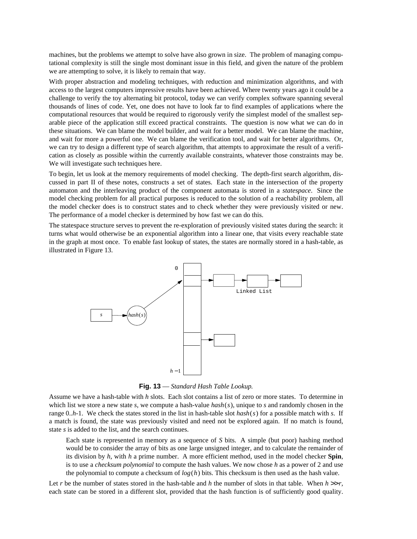machines, but the problems we attempt to solve have also grown in size. The problem of managing computational complexity is still the single most dominant issue in this field, and given the nature of the problem we are attempting to solve, it is likely to remain that way.

With proper abstraction and modeling techniques, with reduction and minimization algorithms, and with access to the largest computers impressive results have been achieved. Where twenty years ago it could be a challenge to verify the toy alternating bit protocol, today we can verify complex software spanning several thousands of lines of code. Yet, one does not have to look far to find examples of applications where the computational resources that would be required to rigorously verify the simplest model of the smallest separable piece of the application still exceed practical constraints. The question is now what we can do in these situations. We can blame the model builder, and wait for a better model. We can blame the machine, and wait for more a powerful one. We can blame the verification tool, and wait for better algorithms. Or, we can try to design a different type of search algorithm, that attempts to approximate the result of a verification as closely as possible within the currently available constraints, whatever those constraints may be. We will investigate such techniques here.

To begin, let us look at the memory requirements of model checking. The depth-first search algorithm, discussed in part II of these notes, constructs a set of states. Each state in the intersection of the property automaton and the interleaving product of the component automata is stored in a *statespace*. Since the model checking problem for all practical purposes is reduced to the solution of a reachability problem, all the model checker does is to construct states and to check whether they were previously visited or new. The performance of a model checker is determined by how fast we can do this.

The statespace structure serves to prevent the re-exploration of previously visited states during the search: it turns what would otherwise be an exponential algorithm into a linear one, that visits every reachable state in the graph at most once. To enable fast lookup of states, the states are normally stored in a hash-table, as illustrated in Figure 13.



**Fig. 13** — *Standard Hash Table Lookup.*

Assume we have a hash-table with *h* slots. Each slot contains a list of zero or more states. To determine in which list we store a new state *s*, we compute a hash-value *hash(s)*, unique to *s* and randomly chosen in the range 0..*h*-1. We check the states stored in the list in hash-table slot *hash*(*s*) for a possible match with *s*. If a match is found, the state was previously visited and need not be explored again. If no match is found, state *s* is added to the list, and the search continues.

Each state is represented in memory as a sequence of *S* bits. A simple (but poor) hashing method would be to consider the array of bits as one large unsigned integer, and to calculate the remainder of its division by *h*, with *h* a prime number. A more efficient method, used in the model checker **Spin**, is to use a *checksum polynomial* to compute the hash values. We now chose *h* as a power of 2 and use the polynomial to compute a checksum of  $log(h)$  bits. This checksum is then used as the hash value.

Let *r* be the number of states stored in the hash-table and *h* the number of slots in that table. When  $h \gg r$ , each state can be stored in a different slot, provided that the hash function is of sufficiently good quality.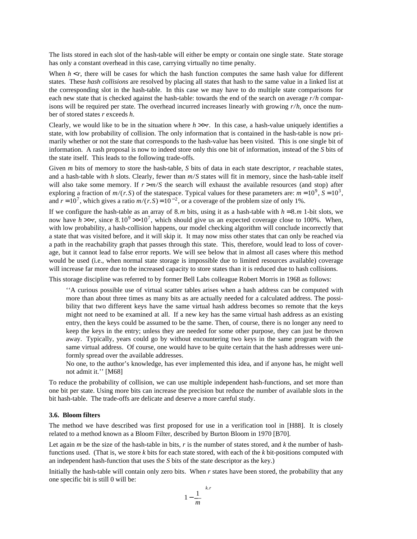The lists stored in each slot of the hash-table will either be empty or contain one single state. State storage has only a constant overhead in this case, carrying virtually no time penalty.

When  $h \leq r$ , there will be cases for which the hash function computes the same hash value for different states. These *hash collisions* are resolved by placing all states that hash to the same value in a linked list at the corresponding slot in the hash-table. In this case we may have to do multiple state comparisons for each new state that is checked against the hash-table: towards the end of the search on average  $r/h$  comparisons will be required per state. The overhead incurred increases linearly with growing  $r/h$ , once the number of stored states *r* exceeds *h*.

Clearly, we would like to be in the situation where  $h \gg r$ . In this case, a hash-value uniquely identifies a state, with low probability of collision. The only information that is contained in the hash-table is now primarily whether or not the state that corresponds to the hash-value has been visited. This is one single bit of information. A rash proposal is now to indeed store only this one bit of information, instead of the *S* bits of the state itself. This leads to the following trade-offs.

Given *m* bits of memory to store the hash-table, *S* bits of data in each state descriptor, *r* reachable states, and a hash-table with  $h$  slots. Clearly, fewer than  $m/S$  states will fit in memory, since the hash-table itself will also take some memory. If  $r > m/S$  the search will exhaust the available resources (and stop) after exploring a fraction of  $m/(r.S)$  of the statespace. Typical values for these parameters are:  $m = 10^9$ ,  $S = 10^3$ , and  $r = 10^7$ , which gives a ratio  $m/(r.S) = 10^{-2}$ , or a coverage of the problem size of only 1%.

If we configure the hash-table as an array of 8.*m* bits, using it as a hash-table with  $h = 8$ .*m* 1-bit slots, we now have  $h \gg r$ , since  $8.10^9 \gg 10^7$ , which should give us an expected coverage close to 100%. When, with low probability, a hash-collision happens, our model checking algorithm will conclude incorrectly that a state that was visited before, and it will skip it. It may now miss other states that can only be reached via a path in the reachability graph that passes through this state. This, therefore, would lead to loss of coverage, but it cannot lead to false error reports. We will see below that in almost all cases where this method would be used (i.e., when normal state storage is impossible due to limited resources available) coverage will increase far more due to the increased capacity to store states than it is reduced due to hash collisions.

This storage discipline was referred to by former Bell Labs colleague Robert Morris in 1968 as follows:

''A curious possible use of virtual scatter tables arises when a hash address can be computed with more than about three times as many bits as are actually needed for a calculated address. The possibility that two different keys have the same virtual hash address becomes so remote that the keys might not need to be examined at all. If a new key has the same virtual hash address as an existing entry, then the keys could be assumed to be the same. Then, of course, there is no longer any need to keep the keys in the entry; unless they are needed for some other purpose, they can just be thrown away. Typically, years could go by without encountering two keys in the same program with the same virtual address. Of course, one would have to be quite certain that the hash addresses were uniformly spread over the available addresses.

No one, to the author's knowledge, has ever implemented this idea, and if anyone has, he might well not admit it.'' [M68]

To reduce the probability of collision, we can use multiple independent hash-functions, and set more than one bit per state. Using more bits can increase the precision but reduce the number of available slots in the bit hash-table. The trade-offs are delicate and deserve a more careful study.

# **3.6. Bloom filters**

The method we have described was first proposed for use in a verification tool in [H88]. It is closely related to a method known as a Bloom Filter, described by Burton Bloom in 1970 [B70].

Let again *m* be the size of the hash-table in bits, *r* is the number of states stored, and *k* the number of hashfunctions used. (That is, we store *k* bits for each state stored, with each of the *k* bit-positions computed with an independent hash-function that uses the *S* bits of the state descriptor as the key.)

Initially the hash-table will contain only zero bits. When *r* states have been stored, the probability that any one specific bit is still 0 will be:

$$
\left[1 - \frac{1}{m}\right]^{k.r}
$$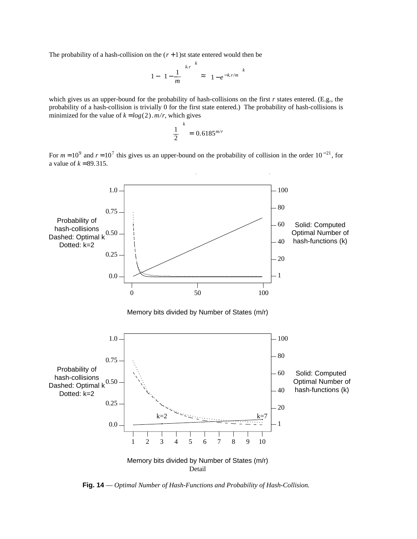The probability of a hash-collision on the  $(r + 1)$ st state entered would then be

$$
\left[1 - \left[1 - \frac{1}{m}\right]^{k} \right]^k \approx \left[1 - e^{-k r/m}\right]^k
$$

which gives us an upper-bound for the probability of hash-collisions on the first *r* states entered. (E.g., the probability of a hash-collision is trivially 0 for the first state entered.) The probability of hash-collisions is minimized for the value of  $k = log(2)$ *.m/r*, which gives

$$
\left(\frac{1}{2}\right)^k = 0.6185^{m/r}
$$

For  $m = 10^9$  and  $r = 10^7$  this gives us an upper-bound on the probability of collision in the order 10<sup>-21</sup>, for a value of  $k = 89.315$ .



**Fig. 14** — *Optimal Number of Hash-Functions and Probability of Hash-Collision.*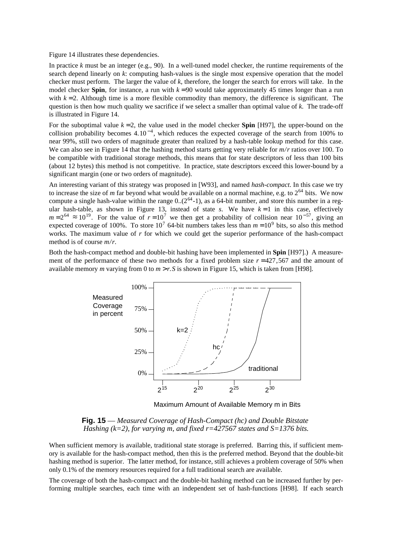Figure 14 illustrates these dependencies.

In practice *k* must be an integer (e.g., 90). In a well-tuned model checker, the runtime requirements of the search depend linearly on *k*: computing hash-values is the single most expensive operation that the model checker must perform. The larger the value of *k*, therefore, the longer the search for errors will take. In the model checker **Spin**, for instance, a run with  $k = 90$  would take approximately 45 times longer than a run with  $k = 2$ . Although time is a more flexible commodity than memory, the difference is significant. The question is then how much quality we sacrifice if we select a smaller than optimal value of *k*. The trade-off is illustrated in Figure 14.

For the suboptimal value  $k = 2$ , the value used in the model checker **Spin** [H97], the upper-bound on the collision probability becomes  $4.10^{-4}$ , which reduces the expected coverage of the search from 100% to near 99%, still two orders of magnitude greater than realized by a hash-table lookup method for this case. We can also see in Figure 14 that the hashing method starts getting very reliable for  $m/r$  ratios over 100. To be compatible with traditional storage methods, this means that for state descriptors of less than 100 bits (about 12 bytes) this method is not competitive. In practice, state descriptors exceed this lower-bound by a significant margin (one or two orders of magnitude).

An interesting variant of this strategy was proposed in [W93], and named *hash-compact*. In this case we try to increase the size of *m* far beyond what would be available on a normal machine, e.g. to  $2^{64}$  bits. We now compute a single hash-value within the range  $0(2^{64}-1)$ , as a 64-bit number, and store this number in a regular hash-table, as shown in Figure 13, instead of state  $s$ . We have  $k=1$  in this case, effectively  $m = 2^{64} \approx 10^{19}$ . For the value of  $r = 10^7$  we then get a probability of collision near  $10^{-57}$ , giving an expected coverage of 100%. To store 10<sup>7</sup> 64-bit numbers takes less than  $m = 10^9$  bits, so also this method works. The maximum value of *r* for which we could get the superior performance of the hash-compact method is of course  $m/r$ .

Both the hash-compact method and double-bit hashing have been implemented in **Spin** [H97].) A measurement of the performance of these two methods for a fixed problem size  $r = 427,567$  and the amount of available memory *m* varying from 0 to *m* > *r. S* is shown in Figure 15, which is taken from [H98].



Maximum Amount of Available Memory m in Bits

**Fig. 15** — *Measured Coverage of Hash-Compact (hc) and Double Bitstate Hashing (k=2), for varying m, and fixed r=427567 states and S=1376 bits.*

When sufficient memory is available, traditional state storage is preferred. Barring this, if sufficient memory is available for the hash-compact method, then this is the preferred method. Beyond that the double-bit hashing method is superior. The latter method, for instance, still achieves a problem coverage of 50% when only 0.1% of the memory resources required for a full traditional search are available.

The coverage of both the hash-compact and the double-bit hashing method can be increased further by performing multiple searches, each time with an independent set of hash-functions [H98]. If each search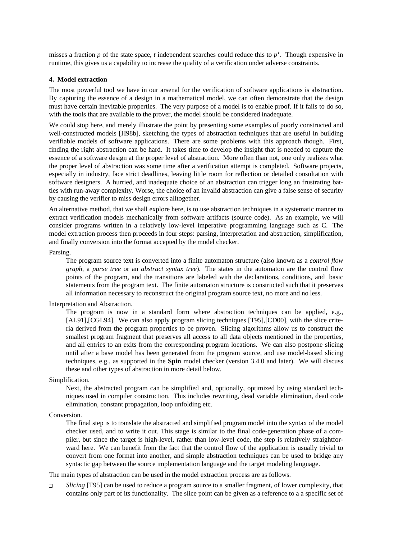misses a fraction *p* of the state space, *t* independent searches could reduce this to *p<sup>t</sup>* . Though expensive in runtime, this gives us a capability to increase the quality of a verification under adverse constraints.

# **4. Model extraction**

The most powerful tool we have in our arsenal for the verification of software applications is abstraction. By capturing the essence of a design in a mathematical model, we can often demonstrate that the design must have certain inevitable properties. The very purpose of a model is to enable proof. If it fails to do so, with the tools that are available to the prover, the model should be considered inadequate.

We could stop here, and merely illustrate the point by presenting some examples of poorly constructed and well-constructed models [H98b], sketching the types of abstraction techniques that are useful in building verifiable models of software applications. There are some problems with this approach though. First, finding the right abstraction can be hard. It takes time to develop the insight that is needed to capture the essence of a software design at the proper level of abstraction. More often than not, one only realizes what the proper level of abstraction was some time after a verification attempt is completed. Software projects, especially in industry, face strict deadlines, leaving little room for reflection or detailed consultation with software designers. A hurried, and inadequate choice of an abstraction can trigger long an frustrating battles with run-away complexity. Worse, the choice of an invalid abstraction can give a false sense of security by causing the verifier to miss design errors alltogether.

An alternative method, that we shall explore here, is to use abstraction techniques in a systematic manner to extract verification models mechanically from software artifacts (source code). As an example, we will consider programs written in a relatively low-level imperative programming language such as C. The model extraction process then proceeds in four steps: parsing, interpretation and abstraction, simplification, and finally conversion into the format accepted by the model checker.

Parsing.

The program source text is converted into a finite automaton structure (also known as a *control flow graph*, a *parse tree* or an *abstract syntax tree*). The states in the automaton are the control flow points of the program, and the transitions are labeled with the declarations, conditions, and basic statements from the program text. The finite automaton structure is constructed such that it preserves all information necessary to reconstruct the original program source text, no more and no less.

Interpretation and Abstraction.

The program is now in a standard form where abstraction techniques can be applied, e.g., [AL91],[CGL94]. We can also apply program slicing techniques [T95],[CD00], with the slice criteria derived from the program properties to be proven. Slicing algorithms allow us to construct the smallest program fragment that preserves all access to all data objects mentioned in the properties, and all entries to an exits from the corresponding program locations. We can also postpone slicing until after a base model has been generated from the program source, and use model-based slicing techniques, e.g., as supported in the **Spin** model checker (version 3.4.0 and later). We will discuss these and other types of abstraction in more detail below.

Simplification.

Next, the abstracted program can be simplified and, optionally, optimized by using standard techniques used in compiler construction. This includes rewriting, dead variable elimination, dead code elimination, constant propagation, loop unfolding etc.

Conversion.

The final step is to translate the abstracted and simplified program model into the syntax of the model checker used, and to write it out. This stage is similar to the final code-generation phase of a compiler, but since the target is high-level, rather than low-level code, the step is relatively straightforward here. We can benefit from the fact that the control flow of the application is usually trivial to convert from one format into another, and simple abstraction techniques can be used to bridge any syntactic gap between the source implementation language and the target modeling language.

The main types of abstraction can be used in the model extraction process are as follows.

*Slicing* [T95] can be used to reduce a program source to a smaller fragment, of lower complexity, that  $\Box$ contains only part of its functionality. The slice point can be given as a reference to a a specific set of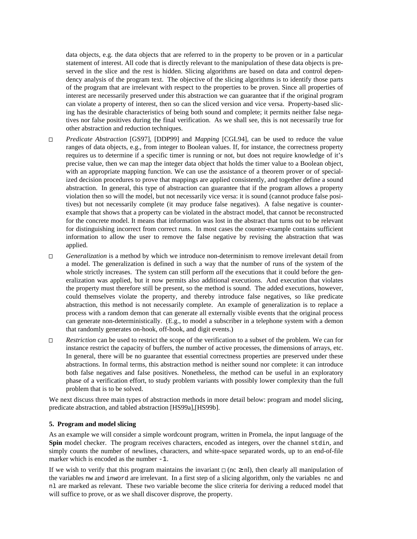data objects, e.g. the data objects that are referred to in the property to be proven or in a particular statement of interest. All code that is directly relevant to the manipulation of these data objects is preserved in the slice and the rest is hidden. Slicing algorithms are based on data and control dependency analysis of the program text. The objective of the slicing algorithms is to identify those parts of the program that are irrelevant with respect to the properties to be proven. Since all properties of interest are necessarily preserved under this abstraction we can guarantee that if the original program can violate a property of interest, then so can the sliced version and vice versa. Property-based slicing has the desirable characteristics of being both sound and complete; it permits neither false negatives nor false positives during the final verification. As we shall see, this is not necessarily true for other abstraction and reduction techniques.

- *Predicate Abstraction* [GS97], [DDP99] and *Mapping* [CGL94], can be used to reduce the value  $\Box$ ranges of data objects, e.g., from integer to Boolean values. If, for instance, the correctness property requires us to determine if a specific timer is running or not, but does not require knowledge of it's precise value, then we can map the integer data object that holds the timer value to a Boolean object, with an appropriate mapping function. We can use the assistance of a theorem prover or of specialized decision procedures to prove that mappings are applied consistently, and together define a sound abstraction. In general, this type of abstraction can guarantee that if the program allows a property violation then so will the model, but not necessarily vice versa: it is sound (cannot produce false positives) but not necessarily complete (it may produce false negatives). A false negative is counterexample that shows that a property can be violated in the abstract model, that cannot be reconstructed for the concrete model. It means that information was lost in the abstract that turns out to be relevant for distinguishing incorrect from correct runs. In most cases the counter-example contains sufficient information to allow the user to remove the false negative by revising the abstraction that was applied.
- *Generalization* is a method by which we introduce non-determinism to remove irrelevant detail from  $\Box$ a model. The generalization is defined in such a way that the number of runs of the system of the whole strictly increases. The system can still perform *all* the executions that it could before the generalization was applied, but it now permits also additional executions. And execution that violates the property must therefore still be present, so the method is sound. The added executions, however, could themselves violate the property, and thereby introduce false negatives, so like predicate abstraction, this method is not necessarily complete. An example of generalization is to replace a process with a random demon that can generate all externally visible events that the original process can generate non-deterministically. (E.g., to model a subscriber in a telephone system with a demon that randomly generates on-hook, off-hook, and digit events.)
- *Restriction* can be used to restrict the scope of the verification to a subset of the problem. We can for  $\Box$ instance restrict the capacity of buffers, the number of active processes, the dimensions of arrays, etc. In general, there will be no guarantee that essential correctness properties are preserved under these abstractions. In formal terms, this abstraction method is neither sound nor complete: it can introduce both false negatives and false positives. Nonetheless, the method can be useful in an exploratory phase of a verification effort, to study problem variants with possibly lower complexity than the full problem that is to be solved.

We next discuss three main types of abstraction methods in more detail below: program and model slicing, predicate abstraction, and tabled abstraction [HS99a],[HS99b].

#### **5. Program and model slicing**

As an example we will consider a simple wordcount program, written in Promela, the input language of the **Spin** model checker. The program receives characters, encoded as integers, over the channel stdin, and simply counts the number of newlines, characters, and white-space separated words, up to an end-of-file marker which is encoded as the number  $-1$ .

If we wish to verify that this program maintains the invariant  $\Box$  (nc  $\geq$  nl), then clearly all manipulation of the variables nw and inword are irrelevant. In a first step of a slicing algorithm, only the variables nc and nl are marked as relevant. These two variable become the slice criteria for deriving a reduced model that will suffice to prove, or as we shall discover disprove, the property.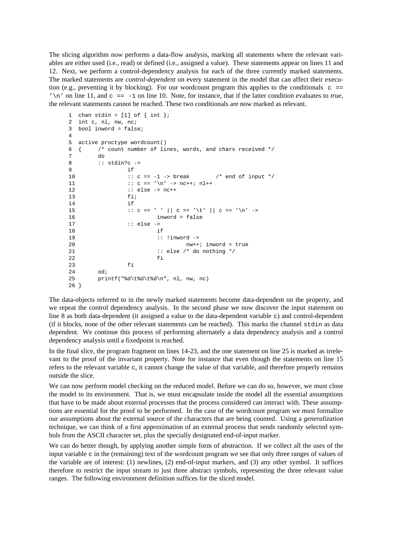The slicing algorithm now performs a data-flow analysis, marking all statements where the relevant variables are either used (i.e., read) or defined (i.e., assigned a value). These statements appear on lines 11 and 12. Next, we perform a control-dependency analysis for each of the three currently marked statements. The marked statements are *control-dependent* on every statement in the model that can affect their execution (e.g., preventing it by blocking). For our wordcount program this applies to the conditionals  $c =$  $\ln$  on line 11, and  $c = -1$  on line 10. Note, for instance, that if the latter condition evaluates to *true*, the relevant statements cannot be reached. These two conditionals are now marked as relevant.

```
1 chan stdin = [1] of \{ int \};
2 int c, nl, nw, nc;
3 bool inword = false;
4
5 active proctype wordcount()
6 { /* count number of lines, words, and chars received */
7 do
8 :: stdin?c ->
9 if
10 :: c == -1 -> break /* end of input */11 :: c == '\n\cdot : c == '\n\cdot nc++; nl++
12 :: else -> nc++
13 fi;
14 if
15 :: c == ' ' || c == ' \t' || c == '\n' ->
16 inword = false
17 :: else ->
18 if
19 :: !inword ->
20 nw++; inword = true
21 : else \prime* do nothing */
22 fi
23 fi
24 od;
25 printf("%d\t%d\t%d\n", nl, nw, nc)
26 }
```
The data-objects referred to in the newly marked statements become data-dependent on the property, and we repeat the control dependency analysis. In the second phase we now discover the input statement on line 8 as both data-dependent (it assigned a value to the data-dependent variable c) and control-dependent (if it blocks, none of the other relevant statements can be reached). This marks the channel stdin as data dependent. We continue this process of performing alternately a data dependency analysis and a control dependency analysis until a fixedpoint is reached.

In the final slice, the program fragment on lines 14-23, and the one statement on line 25 is marked as irrelevant to the proof of the invariant property. Note for instance that even though the statements on line 15 refers to the relevant variable c, it cannot change the value of that variable, and therefore properly remains outside the slice.

We can now perform model checking on the reduced model. Before we can do so, however, we must close the model to its environment. That is, we must encapsulate inside the model all the essential assumptions that have to be made about external processes that the process considered can interact with. These assumptions are essential for the proof to be performed. In the case of the wordcount program we must formalize our assumptions about the external source of the characters that are being counted. Using a *generalization* technique, we can think of a first approximation of an external process that sends randomly selected symbols from the ASCII character set, plus the specially designated end-of-input marker.

We can do better though, by applying another simple form of abstraction. If we collect all the uses of the input variable  $\sigma$  in the (remaining) text of the wordcount program we see that only three ranges of values of the variable are of interest: (1) newlines, (2) end-of-input markers, and (3) any other symbol. It suffices therefore to restrict the input stream to just three abstract symbols, representing the three relevant value ranges. The following environment definition suffices for the sliced model.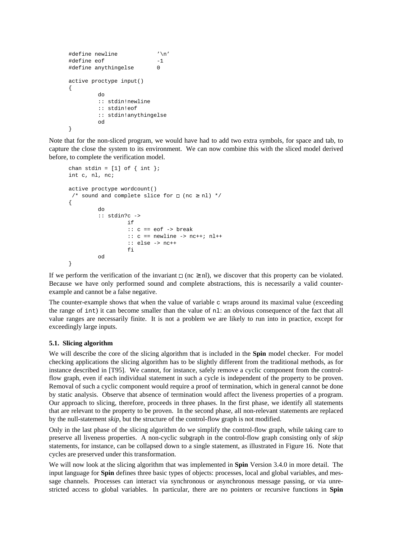```
#define newline '\n'
#define eof -1
#define anythingelse 0
active proctype input()
{
       do
       :: stdin!newline
       :: stdin!eof
       :: stdin!anythingelse
       od
}
```
Note that for the non-sliced program, we would have had to add two extra symbols, for space and tab, to capture the close the system to its environment. We can now combine this with the sliced model derived before, to complete the verification model.

```
chan stdin = [1] of \{ int \};
int c, nl, nc;
active proctype wordcount()
 /* sound and complete slice for \Box (nc \geq nl) */
{
         do
         :: stdin?c ->
                   if
                   :: c == eof -> break
                   :: c == newline -> nc++; nl++
                   :: else -> nc++
                   f_iod
}
```
If we perform the verification of the invariant  $\Box$  (nc  $\geq$  nl), we discover that this property can be violated. Because we have only performed sound and complete abstractions, this is necessarily a valid counterexample and cannot be a false negative.

The counter-example shows that when the value of variable  $\sigma$  wraps around its maximal value (exceeding the range of int) it can become smaller than the value of nl: an obvious consequence of the fact that all value ranges are necessarily finite. It is not a problem we are likely to run into in practice, except for exceedingly large inputs.

# **5.1. Slicing algorithm**

We will describe the core of the slicing algorithm that is included in the **Spin** model checker. For model checking applications the slicing algorithm has to be slightly different from the traditional methods, as for instance described in [T95]. We cannot, for instance, safely remove a cyclic component from the controlflow graph, even if each individual statement in such a cycle is independent of the property to be proven. Removal of such a cyclic component would require a proof of termination, which in general cannot be done by static analysis. Observe that absence of termination would affect the liveness properties of a program. Our approach to slicing, therefore, proceeds in three phases. In the first phase, we identify all statements that are relevant to the property to be proven. In the second phase, all non-relevant statements are replaced by the null-statement *skip*, but the structure of the control-flow graph is not modified.

Only in the last phase of the slicing algorithm do we simplify the control-flow graph, while taking care to preserve all liveness properties. A non-cyclic subgraph in the control-flow graph consisting only of *skip* statements, for instance, can be collapsed down to a single statement, as illustrated in Figure 16. Note that cycles are preserved under this transformation.

We will now look at the slicing algorithm that was implemented in **Spin** Version 3.4.0 in more detail. The input language for **Spin** defines three basic types of objects: processes, local and global variables, and message channels. Processes can interact via synchronous or asynchronous message passing, or via unrestricted access to global variables. In particular, there are no pointers or recursive functions in **Spin**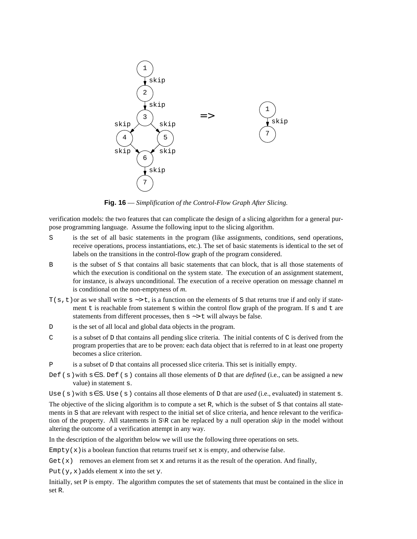

**Fig. 16** — *Simplification of the Control-Flow Graph After Slicing.*

verification models: the two features that can complicate the design of a slicing algorithm for a general purpose programming language. Assume the following input to the slicing algorithm.

- S is the set of all basic statements in the program (like assignments, conditions, send operations, receive operations, process instantiations, etc.). The set of basic statements is identical to the set of labels on the transitions in the control-flow graph of the program considered.
- B is the subset of S that contains all basic statements that can block, that is all those statements of which the execution is conditional on the system state. The execution of an assignment statement, for instance, is always unconditional. The execution of a receive operation on message channel *m* is conditional on the non-emptyness of *m*.
- $T(s, t)$  or as we shall write  $s \rightarrow t$ , is a function on the elements of S that returns true if and only if statement  $t$  is reachable from statement  $s$  within the control flow graph of the program. If  $s$  and  $t$  are statements from different processes, then s ∼> t will always be false.
- D is the set of all local and global data objects in the program.
- $C$  is a subset of D that contains all pending slice criteria. The initial contents of C is derived from the program properties that are to be proven: each data object that is referred to in at least one property becomes a slice criterion.
- $P$  is a subset of D that contains all processed slice criteria. This set is initially empty.
- Def ( s )with s∈S. Def ( s ) contains all those elements of D that are *defined* (i.e., can be assigned a new value) in statement s.

Use (s) with s∈S. Use (s) contains all those elements of D that are *used* (i.e., evaluated) in statement s.

The objective of the slicing algorithm is to compute a set R, which is the subset of S that contains all statements in S that are relevant with respect to the initial set of slice criteria, and hence relevant to the verification of the property. All statements in S\R can be replaced by a null operation *skip* in the model without altering the outcome of a verification attempt in any way.

In the description of the algorithm below we will use the following three operations on sets.

 $Empty(x)$  is a boolean function that returns trueif set x is empty, and otherwise false.

Get  $(x)$  removes an element from set x and returns it as the result of the operation. And finally,

Put  $(y, x)$  adds element x into the set y.

Initially, set P is empty. The algorithm computes the set of statements that must be contained in the slice in set R.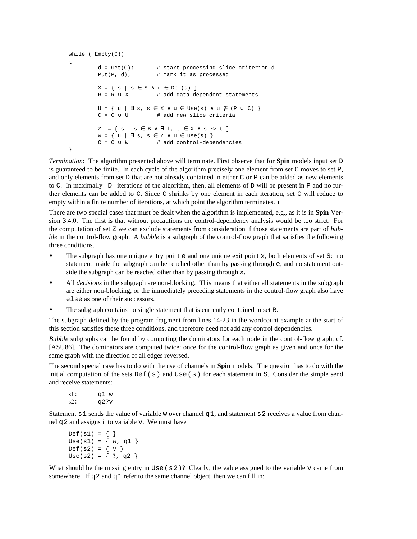```
while (!Empty(C))
{
         d = Get(C); # start processing slice criterion d
         Put(P, d); \# mark it as processed
         X = \{ s \mid s \in S \land d \in Def(s) \}R = R \cup X # add data dependent statements
         U = \{ u | \exists s, s \in X \land u \in Use(s) \land u \notin (P \cup C) \}C = C ∪ U # add new slice criteria
          Z = { s | s ∈ B ∧ ∃ t, t ∈ X ∧ s ∼> t }
         W = \{ u \mid \exists s, s \in \mathbb{Z} \land u \in \text{Use}(s) \}C = C ∪ W # add control-dependencies
}
```
*Termination*: The algorithm presented above will terminate. First observe that for **Spin** models input set D is guaranteed to be finite. In each cycle of the algorithm precisely one element from set C moves to set P, and only elements from set D that are not already contained in either  $C$  or  $P$  can be added as new elements to C. In maximally  $|D|$  iterations of the algorithm, then, all elements of D will be present in P and no further elements can be added to C. Since C shrinks by one element in each iteration, set C will reduce to empty within a finite number of iterations, at which point the algorithm terminates. $\Box$ 

There are two special cases that must be dealt when the algorithm is implemented, e.g., as it is in **Spin** Version 3.4.0. The first is that without precautions the control-dependency analysis would be too strict. For the computation of set Z we can exclude statements from consideration if those statements are part of *bubble* in the control-flow graph. A *bubble* is a subgraph of the control-flow graph that satisfies the following three conditions.

- The subgraph has one unique entry point  $\epsilon$  and one unique exit point x, both elements of set S: no statement inside the subgraph can be reached other than by passing through e, and no statement outside the subgraph can be reached other than by passing through x.
- All *decisions* in the subgraph are non-blocking. This means that either all statements in the subgraph are either non-blocking, or the immediately preceding statements in the control-flow graph also have else as one of their successors.
- The subgraph contains no single statement that is currently contained in set R.

The subgraph defined by the program fragment from lines 14-23 in the wordcount example at the start of this section satisfies these three conditions, and therefore need not add any control dependencies.

*Bubble* subgraphs can be found by computing the dominators for each node in the control-flow graph, cf. [ASU86]. The dominators are computed twice: once for the control-flow graph as given and once for the same graph with the direction of all edges reversed.

The second special case has to do with the use of channels in **Spin** models. The question has to do with the initial computation of the sets Def  $(s)$  and Use  $(s)$  for each statement in S. Consider the simple send and receive statements:

```
s1: q1!w
s2: q2?v
```
Statement  $s_1$  sends the value of variable w over channel  $q_1$ , and statement  $s_2$  receives a value from channel  $q2$  and assigns it to variable v. We must have

```
Def(s1) = { }Use(s1) = {w, q1}
Def(s2) = { v }Use(s2) = \{ ?, q2 \}
```
What should be the missing entry in Use  $(s 2)$ ? Clearly, the value assigned to the variable v came from somewhere. If q 2 and q 1 refer to the same channel object, then we can fill in: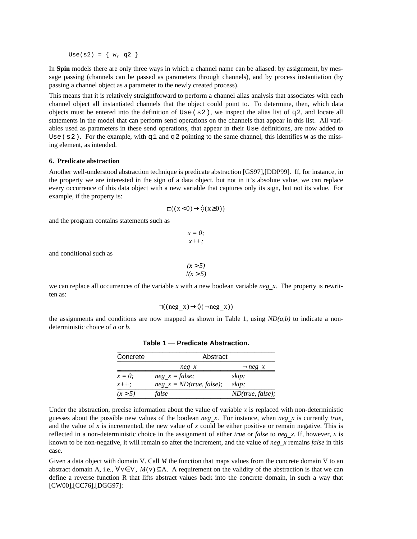Use(s2) =  $\{ w, q2 \}$ 

In **Spin** models there are only three ways in which a channel name can be aliased: by assignment, by message passing (channels can be passed as parameters through channels), and by process instantiation (by passing a channel object as a parameter to the newly created process).

This means that it is relatively straightforward to perform a channel alias analysis that associates with each channel object all instantiated channels that the object could point to. To determine, then, which data objects must be entered into the definition of Use ( $s2$ ), we inspect the alias list of  $q2$ , and locate all statements in the model that can perform send operations on the channels that appear in this list. All variables used as parameters in these send operations, that appear in their Use definitions, are now added to Use ( $s$  2). For the example, with  $q$ 1 and  $q$ 2 pointing to the same channel, this identifies w as the missing element, as intended.

# **6. Predicate abstraction**

Another well-understood abstraction technique is predicate abstraction [GS97],[DDP99]. If, for instance, in the property we are interested in the sign of a data object, but not in it's absolute value, we can replace every occurrence of this data object with a new variable that captures only its sign, but not its value. For example, if the property is:

$$
\Box((x<0)\rightarrow \Diamond(x\geq 0))
$$

and the program contains statements such as

$$
x = 0;
$$
  

$$
x++;
$$

and conditional such as

$$
\begin{array}{c}\n(x > 5) \\
\hline\n\text{1}(x > 5)\n\end{array}
$$

we can replace all occurrences of the variable *x* with a new boolean variable *neg*\_*x*. The property is rewritten as:

$$
\Box((\text{neg } x) \rightarrow \Diamond(\neg \text{neg } x))
$$

the assignments and conditions are now mapped as shown in Table 1, using  $ND(a,b)$  to indicate a nondeterministic choice of *a* or *b*.

| Concrete   | Abstract                   |                  |  |
|------------|----------------------------|------------------|--|
|            | neg x                      | $\neg$ neg x     |  |
| $x=0$ :    | $neg_x = false;$           | skip;            |  |
| $x_{++}$ ; | $neg x = ND(true, false);$ | skip;            |  |
| (x > 5)    | false                      | ND(true, false); |  |

Table 1 — Predicate Abstraction.

Under the abstraction, precise information about the value of variable  $x$  is replaced with non-deterministic guesses about the possible new values of the boolean *neg*\_*x*. For instance, when *neg*\_*x* is currently *true*, and the value of  $x$  is incremented, the new value of  $x$  could be either positive or remain negative. This is reflected in a non-deterministic choice in the assignment of either *true* or *false* to *neg*\_*x*. If, however, *x* is known to be non-negative, it will remain so after the increment, and the value of *neg*\_*x* remains *false* in this case.

Given a data object with domain V. Call *M* the function that maps values from the concrete domain V to an abstract domain A, i.e.,  $\forall v \in V$ ,  $M(v) \subseteq A$ . A requirement on the validity of the abstraction is that we can define a reverse function R that lifts abstract values back into the concrete domain, in such a way that [CW00],[CC76],[DGG97]: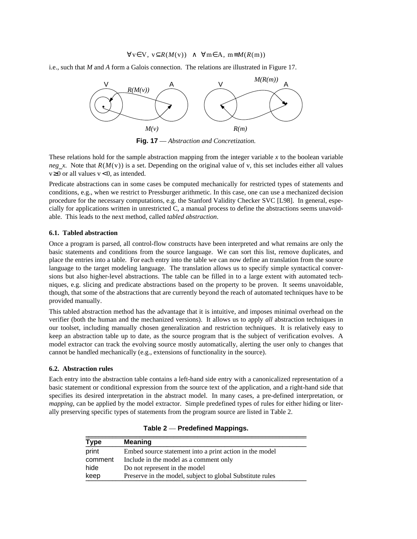# $\forall v \in V$ ,  $v \subseteq R(M(v)) \land \forall m \in A$ ,  $m \equiv M(R(m))$

i.e., such that *M* and *A* form a Galois connection. The relations are illustrated in Figure 17.



**Fig. 17** — *Abstraction and Concretization.*

These relations hold for the sample abstraction mapping from the integer variable *x* to the boolean variable *neg x*. Note that  $R(M(v))$  is a set. Depending on the original value of v, this set includes either all values  $v \ge 0$  or all values  $v < 0$ , as intended.

Predicate abstractions can in some cases be computed mechanically for restricted types of statements and conditions, e.g., when we restrict to Pressburger arithmetic. In this case, one can use a mechanized decision procedure for the necessary computations, e.g. the Stanford Validity Checker SVC [L98]. In general, especially for applications written in unrestricted C, a manual process to define the abstractions seems unavoidable. This leads to the next method, called *tabled abstraction*.

#### **6.1. Tabled abstraction**

Once a program is parsed, all control-flow constructs have been interpreted and what remains are only the basic statements and conditions from the source language. We can sort this list, remove duplicates, and place the entries into a table. For each entry into the table we can now define an translation from the source language to the target modeling language. The translation allows us to specify simple syntactical conversions but also higher-level abstractions. The table can be filled in to a large extent with automated techniques, e.g. slicing and predicate abstractions based on the property to be proven. It seems unavoidable, though, that some of the abstractions that are currently beyond the reach of automated techniques have to be provided manually.

This tabled abstraction method has the advantage that it is intuitive, and imposes minimal overhead on the verifier (both the human and the mechanized versions). It allows us to apply *all* abstraction techniques in our toolset, including manually chosen generalization and restriction techniques. It is relatively easy to keep an abstraction table up to date, as the source program that is the subject of verification evolves. A model extractor can track the evolving source mostly automatically, alerting the user only to changes that cannot be handled mechanically (e.g., extensions of functionality in the source).

# **6.2. Abstraction rules**

Each entry into the abstraction table contains a left-hand side entry with a canonicalized representation of a basic statement or conditional expression from the source text of the application, and a right-hand side that specifies its desired interpretation in the abstract model. In many cases, a pre-defined interpretation, or *mapping*, can be applied by the model extractor. Simple predefined types of rules for either hiding or literally preserving specific types of statements from the program source are listed in Table 2.

| <b>Type</b> | <b>Meaning</b>                                            |
|-------------|-----------------------------------------------------------|
| print       | Embed source statement into a print action in the model   |
| comment     | Include in the model as a comment only                    |
| hide        | Do not represent in the model                             |
| keep        | Preserve in the model, subject to global Substitute rules |

Table 2 — Predefined Mappings.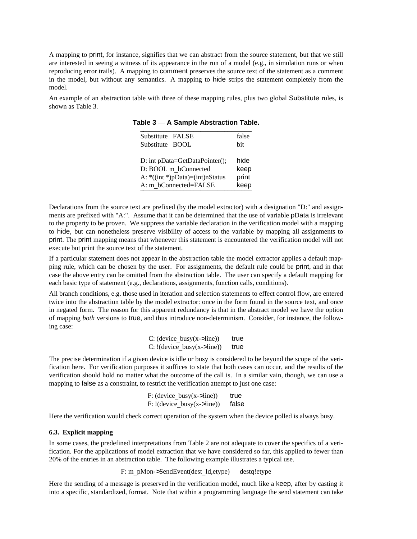A mapping to print, for instance, signifies that we can abstract from the source statement, but that we still are interested in seeing a witness of its appearance in the run of a model (e.g., in simulation runs or when reproducing error trails). A mapping to comment preserves the source text of the statement as a comment in the model, but without any semantics. A mapping to hide strips the statement completely from the model.

An example of an abstraction table with three of these mapping rules, plus two global Substitute rules, is shown as Table 3.

| Substitute FALSE                | false |
|---------------------------------|-------|
| Substitute BOOL                 | bit   |
|                                 |       |
| D: int pData=GetDataPointer();  | hide  |
| D: BOOL m bConnected            | keep  |
| A: *((int *)pData)=(int)nStatus | print |
| A: m bConnected=FALSE           | keep  |

Table 3 — A Sample Abstraction Table.

Declarations from the source text are prefixed (by the model extractor) with a designation "D:" and assignments are prefixed with "A:". Assume that it can be determined that the use of variable pData is irrelevant to the property to be proven. We suppress the variable declaration in the verification model with a mapping to hide, but can nonetheless preserve visibility of access to the variable by mapping all assignments to print. The print mapping means that whenever this statement is encountered the verification model will not execute but print the source text of the statement.

If a particular statement does not appear in the abstraction table the model extractor applies a default mapping rule, which can be chosen by the user. For assignments, the default rule could be print, and in that case the above entry can be omitted from the abstraction table. The user can specify a default mapping for each basic type of statement (e.g., declarations, assignments, function calls, conditions).

All branch conditions, e.g. those used in iteration and selection statements to effect control flow, are entered twice into the abstraction table by the model extractor: once in the form found in the source text, and once in negated form. The reason for this apparent redundancy is that in the abstract model we have the option of mapping *both* versions to true, and thus introduce non-determinism. Consider, for instance, the following case:

| $C: (device busy(x->line))$   | true |
|-------------------------------|------|
| $C: !$ (device busy(x->line)) | true |

The precise determination if a given device is idle or busy is considered to be beyond the scope of the verification here. For verification purposes it suffices to state that both cases can occur, and the results of the verification should hold no matter what the outcome of the call is. In a similar vain, though, we can use a mapping to false as a constraint, to restrict the verification attempt to just one case:

| $F: (device busy(x->line))$   | true  |
|-------------------------------|-------|
| $F: !$ (device busy(x->line)) | false |

Here the verification would check correct operation of the system when the device polled is always busy.

#### **6.3. Explicit mapping**

In some cases, the predefined interpretations from Table 2 are not adequate to cover the specifics of a verification. For the applications of model extraction that we have considered so far, this applied to fewer than 20% of the entries in an abstraction table. The following example illustrates a typical use.

F: m\_pMon->SendEvent(dest\_Id,etype) destq!etype

Here the sending of a message is preserved in the verification model, much like a keep, after by casting it into a specific, standardized, format. Note that within a programming language the send statement can take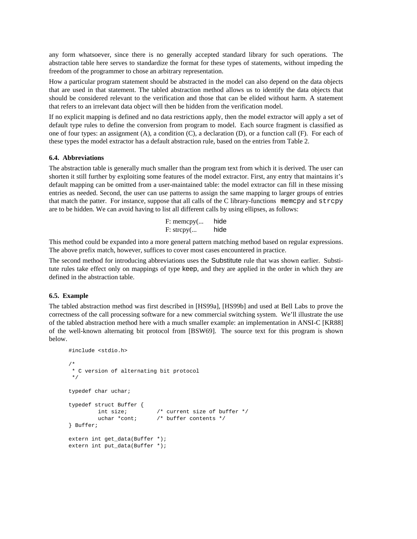any form whatsoever, since there is no generally accepted standard library for such operations. The abstraction table here serves to standardize the format for these types of statements, without impeding the freedom of the programmer to chose an arbitrary representation.

How a particular program statement should be abstracted in the model can also depend on the data objects that are used in that statement. The tabled abstraction method allows us to identify the data objects that should be considered relevant to the verification and those that can be elided without harm. A statement that refers to an irrelevant data object will then be hidden from the verification model.

If no explicit mapping is defined and no data restrictions apply, then the model extractor will apply a set of default type rules to define the conversion from program to model. Each source fragment is classified as one of four types: an assignment (A), a condition (C), a declaration (D), or a function call (F). For each of these types the model extractor has a default abstraction rule, based on the entries from Table 2.

# **6.4. Abbreviations**

The abstraction table is generally much smaller than the program text from which it is derived. The user can shorten it still further by exploiting some features of the model extractor. First, any entry that maintains it's default mapping can be omitted from a user-maintained table: the model extractor can fill in these missing entries as needed. Second, the user can use patterns to assign the same mapping to larger groups of entries that match the patter. For instance, suppose that all calls of the C library-functions memcpy and strcpy are to be hidden. We can avoid having to list all different calls by using ellipses, as follows:

> F: memcpy(... hide F: strcpy(... hide

This method could be expanded into a more general pattern matching method based on regular expressions. The above prefix match, however, suffices to cover most cases encountered in practice.

The second method for introducing abbreviations uses the Substitute rule that was shown earlier. Substitute rules take effect only on mappings of type keep, and they are applied in the order in which they are defined in the abstraction table.

# **6.5. Example**

The tabled abstraction method was first described in [HS99a], [HS99b] and used at Bell Labs to prove the correctness of the call processing software for a new commercial switching system. We'll illustrate the use of the tabled abstraction method here with a much smaller example: an implementation in ANSI-C [KR88] of the well-known alternating bit protocol from [BSW69]. The source text for this program is shown below.

```
#include <stdio.h>
/*
 * C version of alternating bit protocol
 */
typedef char uchar;
typedef struct Buffer {
        int size; /* current size of buffer */
        uchar *cont; \frac{1}{x} buffer contents */
} Buffer;
extern int get_data(Buffer *);
extern int put_data(Buffer *);
```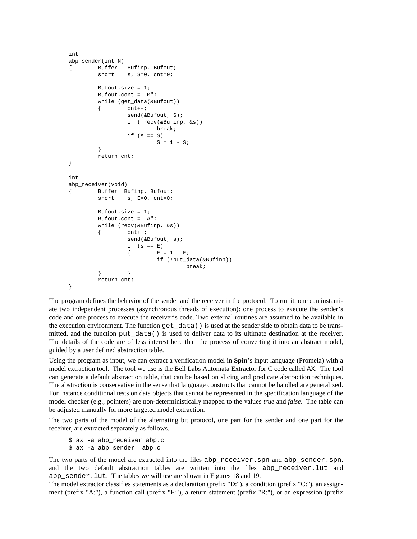```
int
abp_sender(int N)
{ Buffer Bufinp, Bufout;
        short s, S=0, ent=0;Bufout.size = 1;
        Bufout.cont = "M";
        while (get_data(&Bufout))
         \{\text{cnt++;}}send(&Bufout, S);
                  if (!recv(&Bufinp, &s))
                          break;
                  if (s == S)S = 1 - Si}
         return cnt;
}
int
abp_receiver(void)
{ Buffer Bufinp, Bufout;
        short s, E=0, cnt=0;
        Bufout.size = 1;
        Bufout.cont = "A";
        while (recv(&Bufinp, &s))
         \{\qquad \text{cnt++};\qquadsend(&Bufout, s);
                  if (s == E)\begin{cases} E = 1 - E; \end{cases}if (!put_data(&Bufinp))
                                    break;
         } }
         return cnt;
}
```
The program defines the behavior of the sender and the receiver in the protocol. To run it, one can instantiate two independent processes (asynchronous threads of execution): one process to execute the sender's code and one process to execute the receiver's code. Two external routines are assumed to be available in the execution environment. The function get\_data() is used at the sender side to obtain data to be transmitted, and the function put\_data() is used to deliver data to its ultimate destination at the receiver. The details of the code are of less interest here than the process of converting it into an abstract model, guided by a user defined abstraction table.

Using the program as input, we can extract a verification model in **Spin**'s input language (Promela) with a model extraction tool. The tool we use is the Bell Labs Automata Extractor for C code called AX. The tool can generate a default abstraction table, that can be based on slicing and predicate abstraction techniques. The abstraction is conservative in the sense that language constructs that cannot be handled are generalized. For instance conditional tests on data objects that cannot be represented in the specification language of the model checker (e.g., pointers) are non-deterministically mapped to the values *true* and *false*. The table can be adjusted manually for more targeted model extraction.

The two parts of the model of the alternating bit protocol, one part for the sender and one part for the receiver, are extracted separately as follows.

\$ ax -a abp\_receiver abp.c \$ ax -a abp\_sender abp.c

The two parts of the model are extracted into the files abp\_receiver.spn and abp\_sender.spn, and the two default abstraction tables are written into the files abp\_receiver.lut and abp\_sender.lut. The tables we will use are shown in Figures 18 and 19.

The model extractor classifies statements as a declaration (prefix "D:"), a condition (prefix "C:"), an assignment (prefix "A:"), a function call (prefix "F:"), a return statement (prefix "R:"), or an expression (prefix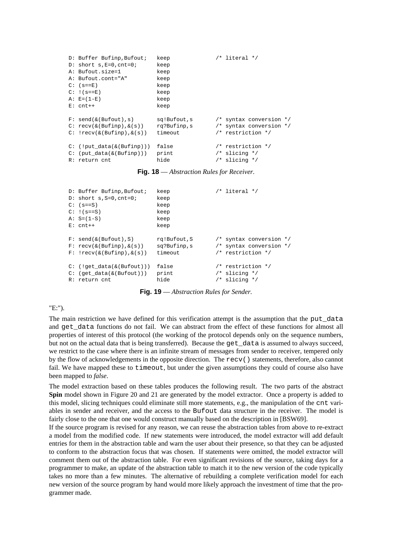```
D: Buffer Bufinp,Bufout; keep /* literal */
D: short s, E=0, cnt=0; keep
A: Bufout.size=1 keep
A: Bufout.cont="A" keep
C: (s == E) keep
C: \{ (s == F) keep
A: E=(1-E) keep
E: cnt++ keep
F: send(k(Bufout), s) sq!Bufout,s /* syntax conversion */
C: recv(\&(Bufinp),\&(s)) rq?Bufinp,s /* syntax conversion */
C: lrecv(\&(lBuffer),\&(s)) timeout /* restriction */
C: (!put_data(\&(Bufinp))) false /* restriction */<br>C: (put_data(\&(Bufinp))) print /* slicing */
C: (put\_data(& (Buffer))) print
R: return cnt hide /* slicing */
```
**Fig. 18** — *Abstraction Rules for Receiver.*

```
D: Buffer Bufinp, Bufout; keep /* literal */
D: short s, S=0, cnt=0; keep
C: (s==S) keep
C: !(s==S) keep
A: S=(1-S) keep
E: cnt++ keep
F: send(\&(Bufout),S) rq!Bufout,S /* syntax conversion */
F: recv(\&(Bufinp), \&(s)) sq?Bufinp,s /* syntax conversion */
F: lrecv(\&(Buffer), \&(s)) timeout /* restriction */
C: (!get data(\&(Butfout))) false /* restriction */
C: (get_data(&(Bufout)))    print /* slicing */
R: return cnt hide /* slicing */
```
**Fig. 19** — *Abstraction Rules for Sender.*

# "E:").

The main restriction we have defined for this verification attempt is the assumption that the put\_data and get\_data functions do not fail. We can abstract from the effect of these functions for almost all properties of interest of this protocol (the working of the protocol depends only on the sequence numbers, but not on the actual data that is being transferred). Because the get\_data is assumed to always succeed, we restrict to the case where there is an infinite stream of messages from sender to receiver, tempered only by the flow of acknowledgements in the opposite direction. The recv() statements, therefore, also cannot fail. We have mapped these to timeout, but under the given assumptions they could of course also have been mapped to *false*.

The model extraction based on these tables produces the following result. The two parts of the abstract **Spin** model shown in Figure 20 and 21 are generated by the model extractor. Once a property is added to this model, slicing techniques could eliminate still more statements, e.g., the manipulation of the cnt variables in sender and receiver, and the access to the Bufout data structure in the receiver. The model is fairly close to the one that one would construct manually based on the description in [BSW69].

If the source program is revised for any reason, we can reuse the abstraction tables from above to re-extract a model from the modified code. If new statements were introduced, the model extractor will add default entries for them in the abstraction table and warn the user about their presence, so that they can be adjusted to conform to the abstraction focus that was chosen. If statements were omitted, the model extractor will comment them out of the abstraction table. For even significant revisions of the source, taking days for a programmer to make, an update of the abstraction table to match it to the new version of the code typically takes no more than a few minutes. The alternative of rebuilding a complete verification model for each new version of the source program by hand would more likely approach the investment of time that the programmer made.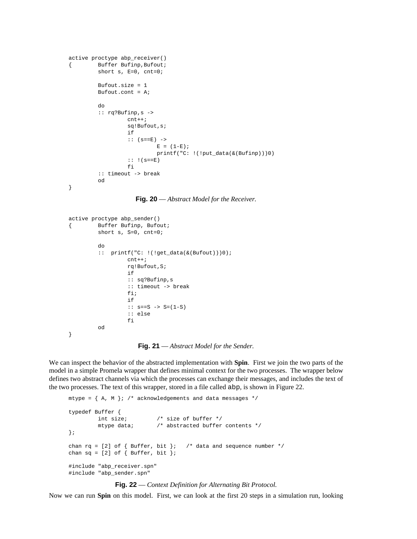```
active proctype abp_receiver()
{ Buffer Bufinp,Bufout;
        short s, E=0, cnt=0;
        Bufout.size = 1
        Bufout.cont = Aido
         :: rq?Bufinp,s ->
                 cnt++;sq!Bufout,s;
                 if
                 :: (s == E) ->
                         E = (1-E);printf("C: !(!put_data(&(Bufinp)))0)
                 :: |(s == E)|fi
         :: timeout -> break
        od
}
```
**Fig. 20** — *Abstract Model for the Receiver.*

```
active proctype abp_sender()
{ Buffer Bufinp, Bufout;
        short s, S=0, cnt=0;
        do
         :: printf("C: !(!get_data(&(Bufout)))0);
                 cnt++;
                 rq!Bufout,S;
                 if
                 :: sq?Bufinp,s
                 :: timeout -> break
                 fi;
                 if
                 :: s == S -> S = (1-S):: else
                 f_iod
}
```
**Fig. 21** — *Abstract Model for the Sender.*

We can inspect the behavior of the abstracted implementation with **Spin**. First we join the two parts of the model in a simple Promela wrapper that defines minimal context for the two processes. The wrapper below defines two abstract channels via which the processes can exchange their messages, and includes the text of the two processes. The text of this wrapper, stored in a file called abp, is shown in Figure 22.

```
mtype = \{ A, M \}; /* acknowledgements and data messages */
typedef Buffer {
        int size; /* size of buffer */
         mtype data; \frac{1}{2} /* abstracted buffer contents */
};
chan rq = [2] of { Buffer, bit }; /* data and sequence number */
chan sq = [2] of \{ Buffer, bit \};
#include "abp_receiver.spn"
#include "abp_sender.spn"
```
**Fig. 22** — *Context Definition for Alternating Bit Protocol.*

Now we can run **Spin** on this model. First, we can look at the first 20 steps in a simulation run, looking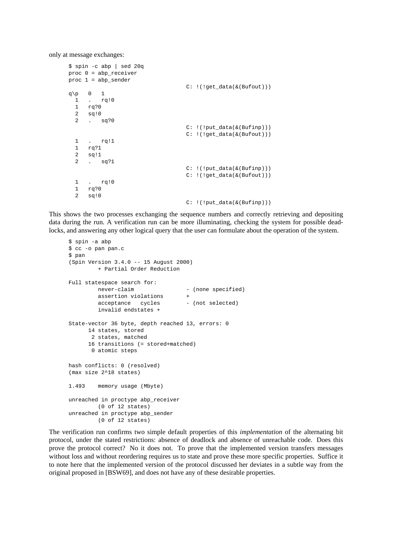only at message exchanges:

```
$ spin -c abp | sed 20q
proc 0 = abp_receiver
proc 1 = abp_sender
                                    C: \left( ! (!get data(&(Bufout)))
q\p \qquad \qquad 0 \qquad 11 . rq!0
  \frac{1}{1} rq?0
  2 sq!0
  2 . sq?0
                                    C: !(!put_data(&(Bufinp)))
                                    C: !(!get_data(&(Bufout)))
  1 . rq!1
  1 rq?1
  2 sq!1
  2 . sq?1
                                    C: !(!put_data(&(Bufinp)))
                                    C: !(!get_data(&(Bufout)))
  1 . rq!0
  1 rq?0
  2 sq!0
                                    C: !(!put_data(&(Bufinp)))
```
This shows the two processes exchanging the sequence numbers and correctly retrieving and depositing data during the run. A verification run can be more illuminating, checking the system for possible deadlocks, and answering any other logical query that the user can formulate about the operation of the system.

```
$ spin -a abp
$ cc -o pan pan.c
$ pan
(Spin Version 3.4.0 -- 15 August 2000)
        + Partial Order Reduction
Full statespace search for:
       never-claim - (none specified)
        assertion violations
        acceptance cycles - (not selected)
        invalid endstates +
State-vector 36 byte, depth reached 13, errors: 0
     14 states, stored
      2 states, matched
     16 transitions (= stored+matched)
      0 atomic steps
hash conflicts: 0 (resolved)
(max size 2^18 states)
1.493 memory usage (Mbyte)
unreached in proctype abp_receiver
      (0 of 12 states)
unreached in proctype abp_sender
        (0 of 12 states)
```
The verification run confirms two simple default properties of this *implementation* of the alternating bit protocol, under the stated restrictions: absence of deadlock and absence of unreachable code. Does this prove the protocol correct? No it does not. To prove that the implemented version transfers messages without loss and without reordering requires us to state and prove these more specific properties. Suffice it to note here that the implemented version of the protocol discussed her deviates in a subtle way from the original proposed in [BSW69], and does not have any of these desirable properties.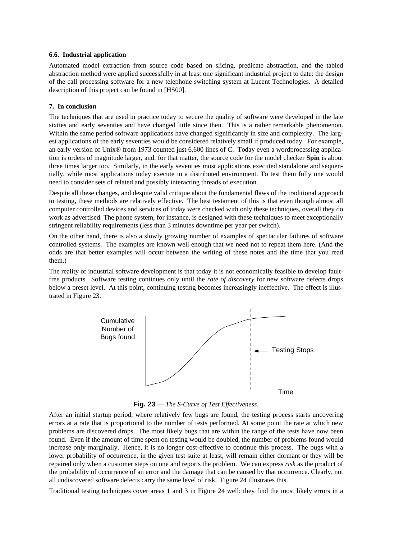# **6.6. Industrial application**

Automated model extraction from source code based on slicing, predicate abstraction, and the tabled abstraction method were applied successfully in at least one significant industrial project to date: the design of the call processing software for a new telephone switching system at Lucent Technologies. A detailed description of this project can be found in [HS00].

# **7. In conclusion**

The techniques that are used in practice today to secure the quality of software were developed in the late sixties and early seventies and have changed little since then. This is a rather remarkable phenomenon. Within the same period software applications have changed significantly in size and complexity. The largest applications of the early seventies would be considered relatively small if produced today. For example, an early version of Unix® from 1973 counted just 6,600 lines of C. Today even a wordprocessing application is orders of magnitude larger, and, for that matter, the source code for the model checker **Spin** is about three times larger too. Similarly, in the early seventies most applications executed standalone and sequentially, while most applications today execute in a distributed environment. To test them fully one would need to consider sets of related and possibly interacting threads of execution.

Despite all these changes, and despite valid critique about the fundamental flaws of the traditional approach to testing, these methods are relatively effective. The best testament of this is that even though almost all computer controlled devices and services of today were checked with only these techniques, overall they do work as advertised. The phone system, for instance, is designed with these techniques to meet exceptionally stringent reliability requirements (less than 3 minutes downtime per year per switch).

On the other hand, there is also a slowly growing number of examples of spectacular failures of software controlled systems. The examples are known well enough that we need not to repeat them here. (And the odds are that better examples will occur between the writing of these notes and the time that you read them.)

The reality of industrial software development is that today it is not economically feasible to develop faultfree products. Software testing continues only until the *rate of discovery* for new software defects drops below a preset level. At this point, continuing testing becomes increasingly ineffective. The effect is illustrated in Figure 23.



**Fig. 23** — *The S-Curve of Test Effectiveness*.

After an initial startup period, where relatively few bugs are found, the testing process starts uncovering errors at a rate that is proportional to the number of tests performed. At some point the rate at which new problems are discovered drops. The most likely bugs that are within the range of the tests have now been found. Even if the amount of time spent on testing would be doubled, the number of problems found would increase only marginally. Hence, it is no longer cost-effective to continue this process. The bugs with a lower probability of occurrence, in the given test suite at least, will remain either dormant or they will be repaired only when a customer steps on one and reports the problem. We can express *risk* as the product of the probability of occurrence of an error and the damage that can be caused by that occurrence. Clearly, not all undiscovered software defects carry the same level of risk. Figure 24 illustrates this.

Traditional testing techniques cover areas 1 and 3 in Figure 24 well: they find the most likely errors in a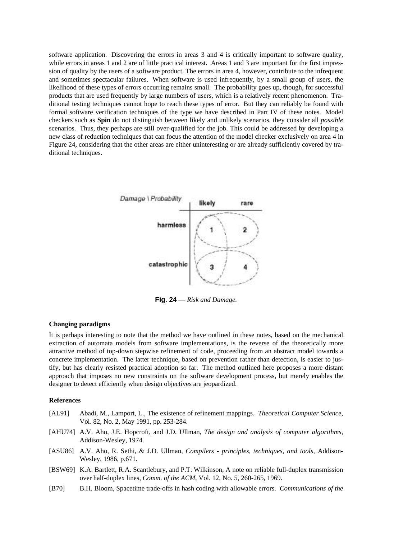software application. Discovering the errors in areas 3 and 4 is critically important to software quality, while errors in areas 1 and 2 are of little practical interest. Areas 1 and 3 are important for the first impression of quality by the users of a software product. The errors in area 4, however, contribute to the infrequent and sometimes spectacular failures. When software is used infrequently, by a small group of users, the likelihood of these types of errors occurring remains small. The probability goes up, though, for successful products that are used frequently by large numbers of users, which is a relatively recent phenomenon. Traditional testing techniques cannot hope to reach these types of error. But they can reliably be found with formal software verification techniques of the type we have described in Part IV of these notes. Model checkers such as **Spin** do not distinguish between likely and unlikely scenarios, they consider all *possible* scenarios. Thus, they perhaps are still over-qualified for the job. This could be addressed by developing a new class of reduction techniques that can focus the attention of the model checker exclusively on area 4 in Figure 24, considering that the other areas are either uninteresting or are already sufficiently covered by traditional techniques.



**Fig. 24** — *Risk and Damage.*

# **Changing paradigms**

It is perhaps interesting to note that the method we have outlined in these notes, based on the mechanical extraction of automata models from software implementations, is the reverse of the theoretically more attractive method of top-down stepwise refinement of code, proceeding from an abstract model towards a concrete implementation. The latter technique, based on prevention rather than detection, is easier to justify, but has clearly resisted practical adoption so far. The method outlined here proposes a more distant approach that imposes no new constraints on the software development process, but merely enables the designer to detect efficiently when design objectives are jeopardized.

## **References**

- [AL91] Abadi, M., Lamport, L., The existence of refinement mappings. *Theoretical Computer Science*, Vol. 82, No. 2, May 1991, pp. 253-284.
- [AHU74] A.V. Aho, J.E. Hopcroft, and J.D. Ullman, *The design and analysis of computer algorithms*, Addison-Wesley, 1974.
- [ASU86] A.V. Aho, R. Sethi, & J.D. Ullman, *Compilers principles, techniques, and tools*, Addison-Wesley, 1986, p.671.
- [BSW69] K.A. Bartlett, R.A. Scantlebury, and P.T. Wilkinson, A note on reliable full-duplex transmission over half-duplex lines, *Comm. of the ACM*, Vol. 12, No. 5, 260-265, 1969.
- [B70] B.H. Bloom, Spacetime trade-offs in hash coding with allowable errors. *Communications of the*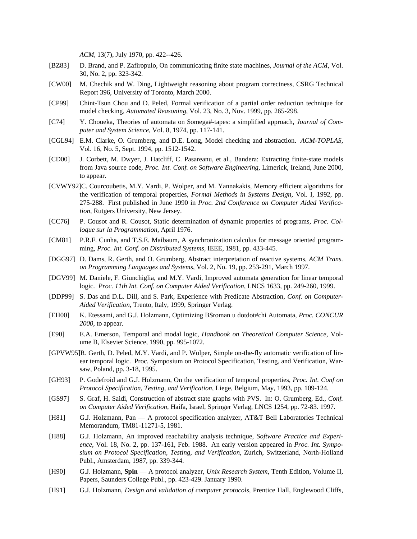*ACM*, 13(7), July 1970, pp. 422--426.

- [BZ83] D. Brand, and P. Zafiropulo, On communicating finite state machines, *Journal of the ACM*, Vol. 30, No. 2, pp. 323-342.
- [CW00] M. Chechik and W. Ding, Lightweight reasoning about program correctness, CSRG Technical Report 396, University of Toronto, March 2000.
- [CP99] Chint-Tsun Chou and D. Peled, Formal verification of a partial order reduction technique for model checking, *Automated Reasoning*, Vol. 23, No. 3, Nov. 1999, pp. 265-298.
- [C74] Y. Choueka, Theories of automata on \$omega#-tapes: a simplified approach, *Journal of Computer and System Science*, Vol. 8, 1974, pp. 117-141.
- [CGL94] E.M. Clarke, O. Grumberg, and D.E. Long, Model checking and abstraction. *ACM-TOPLAS*, Vol. 16, No. 5, Sept. 1994, pp. 1512-1542.
- [CD00] J. Corbett, M. Dwyer, J. Hatcliff, C. Pasareanu, et al., Bandera: Extracting finite-state models from Java source code, *Proc. Int. Conf. on Software Engineering*, Limerick, Ireland, June 2000, to appear.
- [CVWY92]C. Courcoubetis, M.Y. Vardi, P. Wolper, and M. Yannakakis, Memory efficient algorithms for the verification of temporal properties, *Formal Methods in Systems Design*, Vol. I, 1992, pp. 275-288. First published in June 1990 in *Proc. 2nd Conference on Computer Aided Verification*, Rutgers University, New Jersey.
- [CC76] P. Cousot and R. Cousot, Static determination of dynamic properties of programs, *Proc. Colloque sur la Programmation*, April 1976.
- [CM81] P.R.F. Cunha, and T.S.E. Maibaum, A synchronization calculus for message oriented programming, *Proc. Int. Conf. on Distributed Systems*, IEEE, 1981, pp. 433-445.
- [DGG97] D. Dams, R. Gerth, and O. Grumberg, Abstract interpretation of reactive systems, *ACM Trans. on Programming Languages and Systems*, Vol. 2, No. 19, pp. 253-291, March 1997.
- [DGV99] M. Daniele, F. Giunchiglia, and M.Y. Vardi, Improved automata generation for linear temporal logic. *Proc. 11th Int. Conf. on Computer Aided Verification*, LNCS 1633, pp. 249-260, 1999.
- [DDP99] S. Das and D.L. Dill, and S. Park, Experience with Predicate Abstraction, *Conf. on Computer-Aided Verification*, Trento, Italy, 1999, Springer Verlag.
- [EH00] K. Etessami, and G.J. Holzmann, Optimizing B\$roman u dotdot#chi Automata, *Proc. CONCUR 2000*, to appear.
- [E90] E.A. Emerson, Temporal and modal logic, *Handbook on Theoretical Computer Science*, Volume B, Elsevier Science, 1990, pp. 995-1072.
- [GPVW95]R. Gerth, D. Peled, M.Y. Vardi, and P. Wolper, Simple on-the-fly automatic verification of linear temporal logic. Proc. Symposium on Protocol Specification, Testing, and Verification, Warsaw, Poland, pp. 3-18, 1995.
- [GH93] P. Godefroid and G.J. Holzmann, On the verification of temporal properties, *Proc. Int. Conf on Protocol Specification, Testing, and Verification*, Liege, Belgium, May, 1993, pp. 109-124.
- [GS97] S. Graf, H. Saidi, Construction of abstract state graphs with PVS. In: O. Grumberg, Ed., *Conf. on Computer Aided Verification*, Haifa, Israel, Springer Verlag, LNCS 1254, pp. 72-83. 1997.
- [H81] G.J. Holzmann, Pan A protocol specification analyzer, AT&T Bell Laboratories Technical Memorandum, TM81-11271-5, 1981.
- [H88] G.J. Holzmann, An improved reachability analysis technique, *Software Practice and Experience*, Vol. 18, No. 2, pp. 137-161, Feb. 1988. An early version appeared in *Proc. Int. Symposium on Protocol Specification, Testing, and Verification*, Zurich, Switzerland, North-Holland Publ., Amsterdam, 1987, pp. 339-344.
- [H90] G.J. Holzmann, **Spin** A protocol analyzer, *Unix Research System*, Tenth Edition, Volume II, Papers, Saunders College Publ., pp. 423-429. January 1990.
- [H91] G.J. Holzmann, *Design and validation of computer protocols*, Prentice Hall, Englewood Cliffs,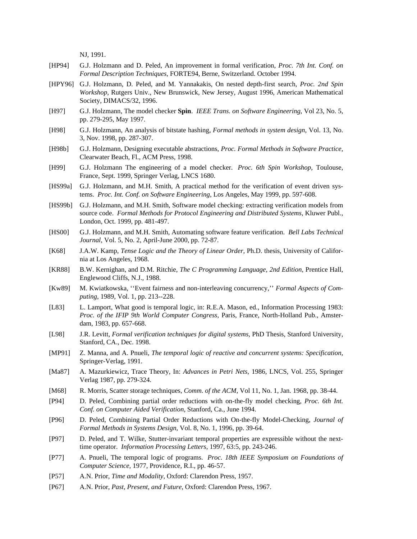NJ, 1991.

- [HP94] G.J. Holzmann and D. Peled, An improvement in formal verification, *Proc. 7th Int. Conf. on Formal Description Techniques*, FORTE94, Berne, Switzerland. October 1994.
- [HPY96] G.J. Holzmann, D. Peled, and M. Yannakakis, On nested depth-first search, *Proc. 2nd Spin Workshop*, Rutgers Univ., New Brunswick, New Jersey, August 1996, American Mathematical Society, DIMACS/32, 1996.
- [H97] G.J. Holzmann, The model checker **Spin**. *IEEE Trans. on Software Engineering*, Vol 23, No. 5, pp. 279-295, May 1997.
- [H98] G.J. Holzmann, An analysis of bitstate hashing, *Formal methods in system design*, Vol. 13, No. 3, Nov. 1998, pp. 287-307.
- [H98b] G.J. Holzmann, Designing executable abstractions, *Proc. Formal Methods in Software Practice*, Clearwater Beach, Fl., ACM Press, 1998.
- [H99] G.J. Holzmann The engineering of a model checker. *Proc. 6th Spin Workshop*, Toulouse, France, Sept. 1999, Springer Verlag, LNCS 1680.
- [HS99a] G.J. Holzmann, and M.H. Smith, A practical method for the verification of event driven systems. *Proc. Int. Conf. on Software Engineering*, Los Angeles, May 1999, pp. 597-608.
- [HS99b] G.J. Holzmann, and M.H. Smith, Software model checking: extracting verification models from source code. *Formal Methods for Protocol Engineering and Distributed Systems*, Kluwer Publ., London, Oct. 1999, pp. 481-497.
- [HS00] G.J. Holzmann, and M.H. Smith, Automating software feature verification. *Bell Labs Technical Journal*, Vol. 5, No. 2, April-June 2000, pp. 72-87.
- [K68] J.A.W. Kamp, *Tense Logic and the Theory of Linear Order*, Ph.D. thesis, University of California at Los Angeles, 1968.
- [KR88] B.W. Kernighan, and D.M. Ritchie, *The C Programming Language, 2nd Edition*, Prentice Hall, Englewood Cliffs, N.J., 1988.
- [Kw89] M. Kwiatkowska, ''Event fairness and non-interleaving concurrency,'' *Formal Aspects of Computing*, 1989, Vol. 1, pp. 213--228.
- [L83] L. Lamport, What good is temporal logic, in: R.E.A. Mason, ed., Information Processing 1983: *Proc. of the IFIP 9th World Computer Congress*, Paris, France, North-Holland Pub., Amsterdam, 1983, pp. 657-668.
- [L98] J.R. Levitt, *Formal verification techniques for digital systems*, PhD Thesis, Stanford University, Stanford, CA., Dec. 1998.
- [MP91] Z. Manna, and A. Pnueli, *The temporal logic of reactive and concurrent systems: Specification*, Springer-Verlag, 1991.
- [Ma87] A. Mazurkiewicz, Trace Theory, In: *Advances in Petri Nets*, 1986, LNCS, Vol. 255, Springer Verlag 1987, pp. 279-324.
- [M68] R. Morris, Scatter storage techniques, *Comm. of the ACM*, Vol 11, No. 1, Jan. 1968, pp. 38-44.
- [P94] D. Peled, Combining partial order reductions with on-the-fly model checking, *Proc. 6th Int. Conf. on Computer Aided Verification*, Stanford, Ca., June 1994.
- [P96] D. Peled, Combining Partial Order Reductions with On-the-fly Model-Checking, *Journal of Formal Methods in Systems Design*, Vol. 8, No. 1, 1996, pp. 39-64.
- [P97] D. Peled, and T. Wilke, Stutter-invariant temporal properties are expressible without the nexttime operator. *Information Processing Letters*, 1997, 63:5, pp. 243-246.
- [P77] A. Pnueli, The temporal logic of programs. *Proc. 18th IEEE Symposium on Foundations of Computer Science*, 1977, Providence, R.I., pp. 46-57.
- [P57] A.N. Prior, *Time and Modality*, Oxford: Clarendon Press, 1957.
- [P67] A.N. Prior, *Past, Present, and Future*, Oxford: Clarendon Press, 1967.